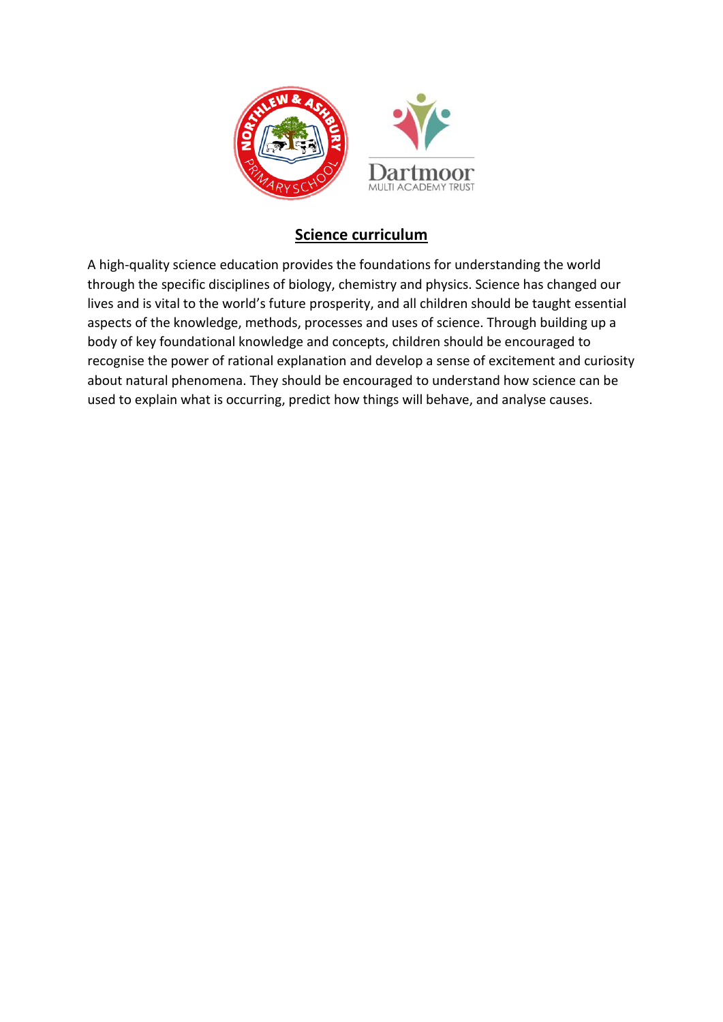

## **Science curriculum**

A high-quality science education provides the foundations for understanding the world through the specific disciplines of biology, chemistry and physics. Science has changed our lives and is vital to the world's future prosperity, and all children should be taught essential aspects of the knowledge, methods, processes and uses of science. Through building up a body of key foundational knowledge and concepts, children should be encouraged to recognise the power of rational explanation and develop a sense of excitement and curiosity about natural phenomena. They should be encouraged to understand how science can be used to explain what is occurring, predict how things will behave, and analyse causes.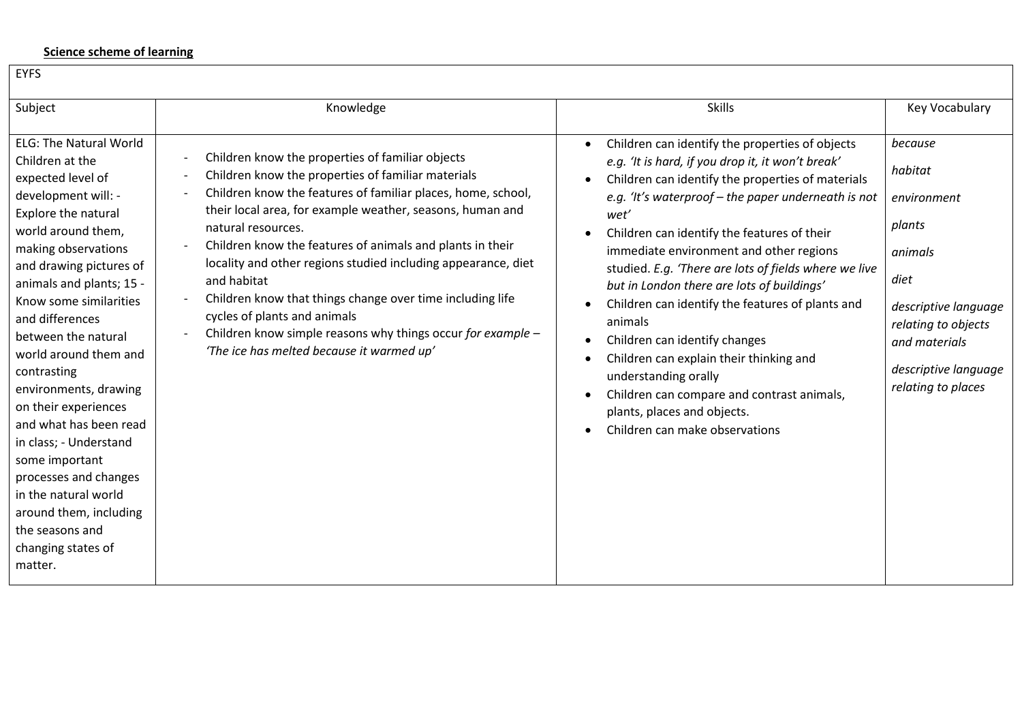## **Science scheme of learning**

| <b>LIFJ</b>                                                                                                                                                                                                                                                                                                                                                                                                                                                                                                                                                                                                                                                                                                                                                                                                                                                                                                                                                                                                                                                                                                                                                                                                  |                                                                                                                                                                                                                                                                                                                                                                                                                                                                                                                                                                                                                                                                                                                          |                                                                                                                                                                              |
|--------------------------------------------------------------------------------------------------------------------------------------------------------------------------------------------------------------------------------------------------------------------------------------------------------------------------------------------------------------------------------------------------------------------------------------------------------------------------------------------------------------------------------------------------------------------------------------------------------------------------------------------------------------------------------------------------------------------------------------------------------------------------------------------------------------------------------------------------------------------------------------------------------------------------------------------------------------------------------------------------------------------------------------------------------------------------------------------------------------------------------------------------------------------------------------------------------------|--------------------------------------------------------------------------------------------------------------------------------------------------------------------------------------------------------------------------------------------------------------------------------------------------------------------------------------------------------------------------------------------------------------------------------------------------------------------------------------------------------------------------------------------------------------------------------------------------------------------------------------------------------------------------------------------------------------------------|------------------------------------------------------------------------------------------------------------------------------------------------------------------------------|
| Knowledge<br>Subject                                                                                                                                                                                                                                                                                                                                                                                                                                                                                                                                                                                                                                                                                                                                                                                                                                                                                                                                                                                                                                                                                                                                                                                         | <b>Skills</b>                                                                                                                                                                                                                                                                                                                                                                                                                                                                                                                                                                                                                                                                                                            | <b>Key Vocabulary</b>                                                                                                                                                        |
| <b>ELG: The Natural World</b><br>Children know the properties of familiar objects<br>Children at the<br>Children know the properties of familiar materials<br>expected level of<br>Children know the features of familiar places, home, school,<br>development will: -<br>their local area, for example weather, seasons, human and<br>Explore the natural<br>natural resources.<br>world around them,<br>Children know the features of animals and plants in their<br>making observations<br>locality and other regions studied including appearance, diet<br>and drawing pictures of<br>and habitat<br>animals and plants; 15 -<br>Children know that things change over time including life<br>Know some similarities<br>cycles of plants and animals<br>and differences<br>Children know simple reasons why things occur for example -<br>between the natural<br>'The ice has melted because it warmed up'<br>world around them and<br>contrasting<br>environments, drawing<br>on their experiences<br>and what has been read<br>in class; - Understand<br>some important<br>processes and changes<br>in the natural world<br>around them, including<br>the seasons and<br>changing states of<br>matter. | Children can identify the properties of objects<br>$\bullet$<br>e.g. 'It is hard, if you drop it, it won't break'<br>Children can identify the properties of materials<br>e.g. 'It's waterproof – the paper underneath is not<br>wet'<br>Children can identify the features of their<br>immediate environment and other regions<br>studied. E.g. 'There are lots of fields where we live<br>but in London there are lots of buildings'<br>Children can identify the features of plants and<br>animals<br>Children can identify changes<br>Children can explain their thinking and<br>understanding orally<br>Children can compare and contrast animals,<br>plants, places and objects.<br>Children can make observations | because<br>habitat<br>environment<br>plants<br>animals<br>diet<br>descriptive language<br>relating to objects<br>and materials<br>descriptive language<br>relating to places |

**EVEC**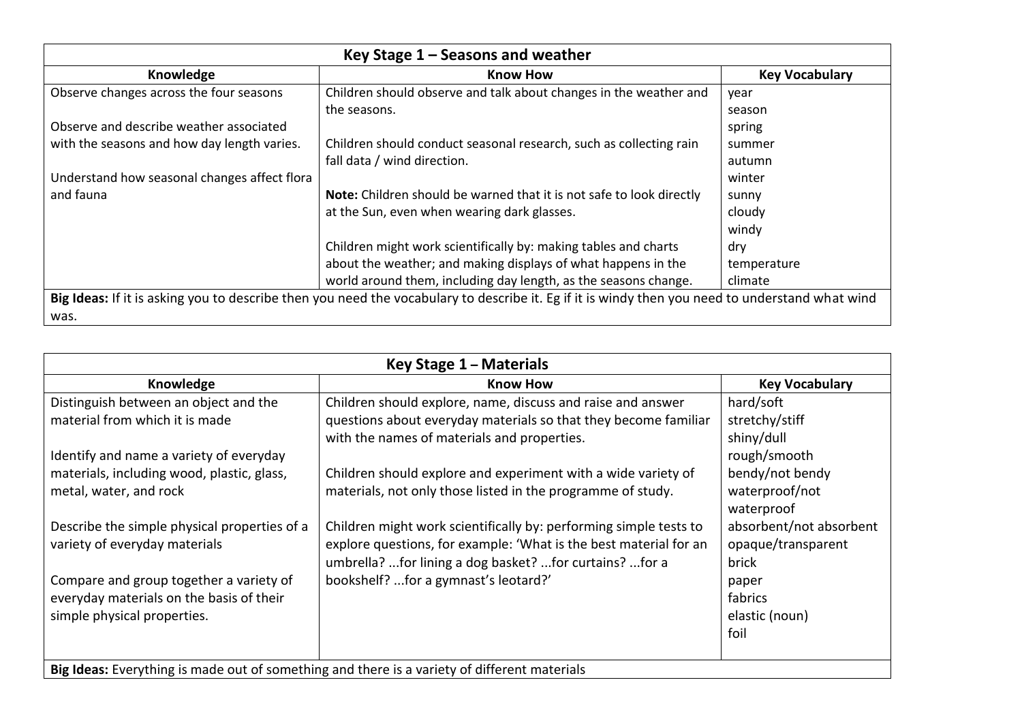| Key Stage $1 -$ Seasons and weather                                                                                                             |                                                                      |                       |  |
|-------------------------------------------------------------------------------------------------------------------------------------------------|----------------------------------------------------------------------|-----------------------|--|
| Knowledge                                                                                                                                       | <b>Know How</b>                                                      | <b>Key Vocabulary</b> |  |
| Observe changes across the four seasons                                                                                                         | Children should observe and talk about changes in the weather and    | year                  |  |
|                                                                                                                                                 | the seasons.                                                         | season                |  |
| Observe and describe weather associated                                                                                                         |                                                                      | spring                |  |
| with the seasons and how day length varies.                                                                                                     | Children should conduct seasonal research, such as collecting rain   | summer                |  |
|                                                                                                                                                 | fall data / wind direction.                                          | autumn                |  |
| Understand how seasonal changes affect flora                                                                                                    |                                                                      | winter                |  |
| and fauna                                                                                                                                       | Note: Children should be warned that it is not safe to look directly | sunny                 |  |
|                                                                                                                                                 | at the Sun, even when wearing dark glasses.                          | cloudy                |  |
|                                                                                                                                                 |                                                                      | windy                 |  |
|                                                                                                                                                 | Children might work scientifically by: making tables and charts      | dry                   |  |
|                                                                                                                                                 | about the weather; and making displays of what happens in the        | temperature           |  |
|                                                                                                                                                 | world around them, including day length, as the seasons change.      | climate               |  |
| Big Ideas: If it is asking you to describe then you need the vocabulary to describe it. Eg if it is windy then you need to understand what wind |                                                                      |                       |  |
| was.                                                                                                                                            |                                                                      |                       |  |

| Key Stage 1 - Materials                                                                      |                                                                   |                         |  |
|----------------------------------------------------------------------------------------------|-------------------------------------------------------------------|-------------------------|--|
| Knowledge                                                                                    | <b>Know How</b>                                                   | <b>Key Vocabulary</b>   |  |
| Distinguish between an object and the                                                        | Children should explore, name, discuss and raise and answer       | hard/soft               |  |
| material from which it is made                                                               | questions about everyday materials so that they become familiar   | stretchy/stiff          |  |
|                                                                                              | with the names of materials and properties.                       | shiny/dull              |  |
| Identify and name a variety of everyday                                                      |                                                                   | rough/smooth            |  |
| materials, including wood, plastic, glass,                                                   | Children should explore and experiment with a wide variety of     | bendy/not bendy         |  |
| metal, water, and rock                                                                       | materials, not only those listed in the programme of study.       | waterproof/not          |  |
|                                                                                              |                                                                   | waterproof              |  |
| Describe the simple physical properties of a                                                 | Children might work scientifically by: performing simple tests to | absorbent/not absorbent |  |
| variety of everyday materials                                                                | explore questions, for example: 'What is the best material for an | opaque/transparent      |  |
|                                                                                              | umbrella? for lining a dog basket? for curtains? for a            | brick                   |  |
| Compare and group together a variety of                                                      | bookshelf? for a gymnast's leotard?'                              | paper                   |  |
| everyday materials on the basis of their                                                     |                                                                   | fabrics                 |  |
| simple physical properties.                                                                  |                                                                   | elastic (noun)          |  |
|                                                                                              |                                                                   | foil                    |  |
|                                                                                              |                                                                   |                         |  |
| Big Ideas: Everything is made out of something and there is a variety of different materials |                                                                   |                         |  |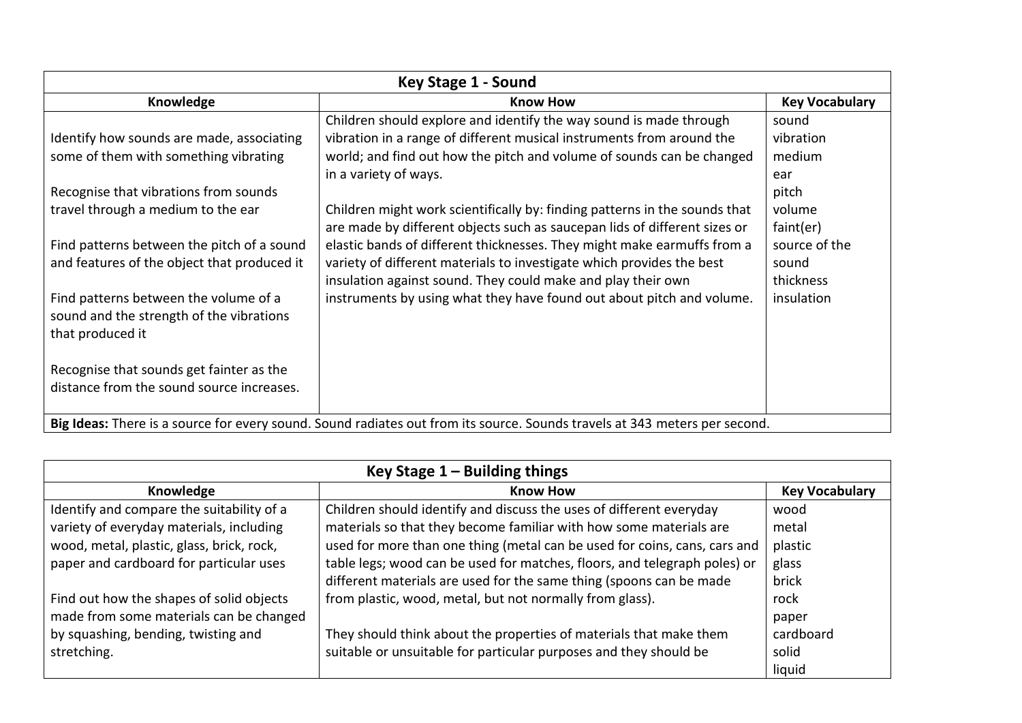| Key Stage 1 - Sound                                                                                                        |                                                                            |                       |  |
|----------------------------------------------------------------------------------------------------------------------------|----------------------------------------------------------------------------|-----------------------|--|
| Knowledge                                                                                                                  | <b>Know How</b>                                                            | <b>Key Vocabulary</b> |  |
|                                                                                                                            | Children should explore and identify the way sound is made through         | sound                 |  |
| Identify how sounds are made, associating                                                                                  | vibration in a range of different musical instruments from around the      | vibration             |  |
| some of them with something vibrating                                                                                      | world; and find out how the pitch and volume of sounds can be changed      | medium                |  |
|                                                                                                                            | in a variety of ways.                                                      | ear                   |  |
| Recognise that vibrations from sounds                                                                                      |                                                                            | pitch                 |  |
| travel through a medium to the ear                                                                                         | Children might work scientifically by: finding patterns in the sounds that | volume                |  |
|                                                                                                                            | are made by different objects such as saucepan lids of different sizes or  | faint(er)             |  |
| Find patterns between the pitch of a sound                                                                                 | elastic bands of different thicknesses. They might make earmuffs from a    | source of the         |  |
| and features of the object that produced it                                                                                | variety of different materials to investigate which provides the best      | sound                 |  |
|                                                                                                                            | insulation against sound. They could make and play their own               | thickness             |  |
| Find patterns between the volume of a                                                                                      | instruments by using what they have found out about pitch and volume.      | insulation            |  |
| sound and the strength of the vibrations                                                                                   |                                                                            |                       |  |
| that produced it                                                                                                           |                                                                            |                       |  |
|                                                                                                                            |                                                                            |                       |  |
| Recognise that sounds get fainter as the                                                                                   |                                                                            |                       |  |
| distance from the sound source increases.                                                                                  |                                                                            |                       |  |
|                                                                                                                            |                                                                            |                       |  |
| Big Ideas: There is a source for every sound. Sound radiates out from its source. Sounds travels at 343 meters per second. |                                                                            |                       |  |

| Key Stage $1 -$ Building things           |                                                                           |                       |  |
|-------------------------------------------|---------------------------------------------------------------------------|-----------------------|--|
| Knowledge                                 | <b>Know How</b>                                                           | <b>Key Vocabulary</b> |  |
| Identify and compare the suitability of a | Children should identify and discuss the uses of different everyday       | wood                  |  |
| variety of everyday materials, including  | materials so that they become familiar with how some materials are        | metal                 |  |
| wood, metal, plastic, glass, brick, rock, | used for more than one thing (metal can be used for coins, cans, cars and | plastic               |  |
| paper and cardboard for particular uses   | table legs; wood can be used for matches, floors, and telegraph poles) or | glass                 |  |
|                                           | different materials are used for the same thing (spoons can be made       | brick                 |  |
| Find out how the shapes of solid objects  | from plastic, wood, metal, but not normally from glass).                  | rock                  |  |
| made from some materials can be changed   |                                                                           | paper                 |  |
| by squashing, bending, twisting and       | They should think about the properties of materials that make them        | cardboard             |  |
| stretching.                               | suitable or unsuitable for particular purposes and they should be         | solid                 |  |
|                                           |                                                                           | liquid                |  |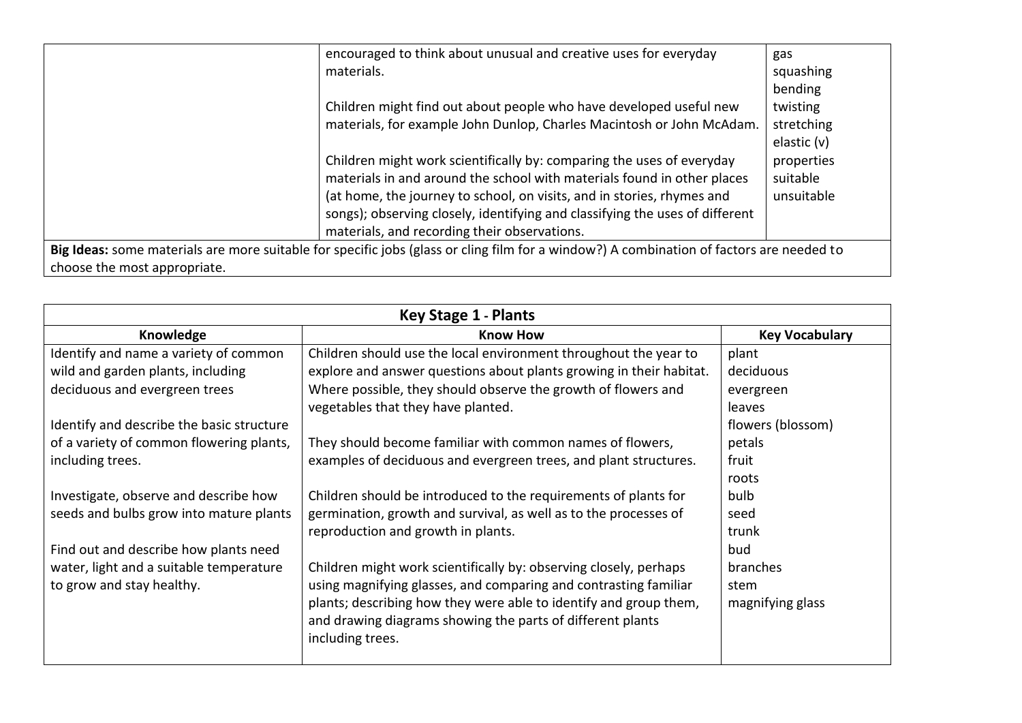|                              | encouraged to think about unusual and creative uses for everyday                                                                         | gas         |
|------------------------------|------------------------------------------------------------------------------------------------------------------------------------------|-------------|
|                              | materials.                                                                                                                               | squashing   |
|                              |                                                                                                                                          | bending     |
|                              | Children might find out about people who have developed useful new                                                                       | twisting    |
|                              | materials, for example John Dunlop, Charles Macintosh or John McAdam.                                                                    | stretching  |
|                              |                                                                                                                                          | elastic (v) |
|                              | Children might work scientifically by: comparing the uses of everyday                                                                    | properties  |
|                              | materials in and around the school with materials found in other places                                                                  | suitable    |
|                              | (at home, the journey to school, on visits, and in stories, rhymes and                                                                   | unsuitable  |
|                              | songs); observing closely, identifying and classifying the uses of different                                                             |             |
|                              | materials, and recording their observations.                                                                                             |             |
|                              | Big Ideas: some materials are more suitable for specific jobs (glass or cling film for a window?) A combination of factors are needed to |             |
| choose the most appropriate. |                                                                                                                                          |             |

| <b>Key Stage 1 - Plants</b>               |                                                                     |                       |  |
|-------------------------------------------|---------------------------------------------------------------------|-----------------------|--|
| Knowledge                                 | <b>Know How</b>                                                     | <b>Key Vocabulary</b> |  |
| Identify and name a variety of common     | Children should use the local environment throughout the year to    | plant                 |  |
| wild and garden plants, including         | explore and answer questions about plants growing in their habitat. | deciduous             |  |
| deciduous and evergreen trees             | Where possible, they should observe the growth of flowers and       | evergreen             |  |
|                                           | vegetables that they have planted.                                  | leaves                |  |
| Identify and describe the basic structure |                                                                     | flowers (blossom)     |  |
| of a variety of common flowering plants,  | They should become familiar with common names of flowers,           | petals                |  |
| including trees.                          | examples of deciduous and evergreen trees, and plant structures.    | fruit                 |  |
|                                           |                                                                     | roots                 |  |
| Investigate, observe and describe how     | Children should be introduced to the requirements of plants for     | bulb                  |  |
| seeds and bulbs grow into mature plants   | germination, growth and survival, as well as to the processes of    | seed                  |  |
|                                           | reproduction and growth in plants.                                  | trunk                 |  |
| Find out and describe how plants need     |                                                                     | bud                   |  |
| water, light and a suitable temperature   | Children might work scientifically by: observing closely, perhaps   | branches              |  |
| to grow and stay healthy.                 | using magnifying glasses, and comparing and contrasting familiar    | stem                  |  |
|                                           | plants; describing how they were able to identify and group them,   | magnifying glass      |  |
|                                           | and drawing diagrams showing the parts of different plants          |                       |  |
|                                           | including trees.                                                    |                       |  |
|                                           |                                                                     |                       |  |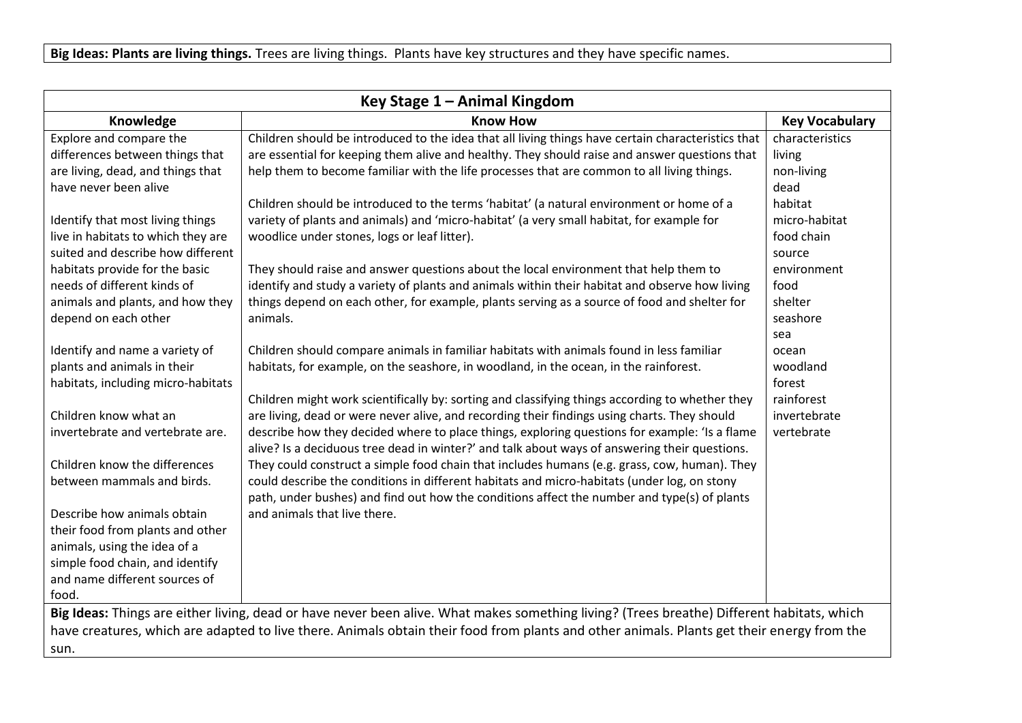| Key Stage 1 - Animal Kingdom                                                                                                                                                                                                                                                                     |                                                                                                                                                                                                                                                                                                                                                                                                                                                                                                                                 |                                                                                    |  |
|--------------------------------------------------------------------------------------------------------------------------------------------------------------------------------------------------------------------------------------------------------------------------------------------------|---------------------------------------------------------------------------------------------------------------------------------------------------------------------------------------------------------------------------------------------------------------------------------------------------------------------------------------------------------------------------------------------------------------------------------------------------------------------------------------------------------------------------------|------------------------------------------------------------------------------------|--|
| Knowledge                                                                                                                                                                                                                                                                                        | <b>Know How</b>                                                                                                                                                                                                                                                                                                                                                                                                                                                                                                                 | <b>Key Vocabulary</b>                                                              |  |
| Explore and compare the<br>differences between things that<br>are living, dead, and things that<br>have never been alive                                                                                                                                                                         | Children should be introduced to the idea that all living things have certain characteristics that<br>are essential for keeping them alive and healthy. They should raise and answer questions that<br>help them to become familiar with the life processes that are common to all living things.                                                                                                                                                                                                                               | characteristics<br>living<br>non-living<br>dead                                    |  |
| Identify that most living things<br>live in habitats to which they are<br>suited and describe how different<br>habitats provide for the basic<br>needs of different kinds of<br>animals and plants, and how they                                                                                 | Children should be introduced to the terms 'habitat' (a natural environment or home of a<br>variety of plants and animals) and 'micro-habitat' (a very small habitat, for example for<br>woodlice under stones, logs or leaf litter).<br>They should raise and answer questions about the local environment that help them to<br>identify and study a variety of plants and animals within their habitat and observe how living<br>things depend on each other, for example, plants serving as a source of food and shelter for | habitat<br>micro-habitat<br>food chain<br>source<br>environment<br>food<br>shelter |  |
| depend on each other<br>Identify and name a variety of<br>plants and animals in their<br>habitats, including micro-habitats                                                                                                                                                                      | animals.<br>Children should compare animals in familiar habitats with animals found in less familiar<br>habitats, for example, on the seashore, in woodland, in the ocean, in the rainforest.<br>Children might work scientifically by: sorting and classifying things according to whether they                                                                                                                                                                                                                                | seashore<br>sea<br>ocean<br>woodland<br>forest<br>rainforest                       |  |
| Children know what an<br>invertebrate and vertebrate are.<br>Children know the differences                                                                                                                                                                                                       | are living, dead or were never alive, and recording their findings using charts. They should<br>describe how they decided where to place things, exploring questions for example: 'Is a flame<br>alive? Is a deciduous tree dead in winter?' and talk about ways of answering their questions.<br>They could construct a simple food chain that includes humans (e.g. grass, cow, human). They                                                                                                                                  | invertebrate<br>vertebrate                                                         |  |
| between mammals and birds.<br>Describe how animals obtain<br>their food from plants and other<br>animals, using the idea of a<br>simple food chain, and identify<br>and name different sources of<br>food.                                                                                       | could describe the conditions in different habitats and micro-habitats (under log, on stony<br>path, under bushes) and find out how the conditions affect the number and type(s) of plants<br>and animals that live there.                                                                                                                                                                                                                                                                                                      |                                                                                    |  |
| Big Ideas: Things are either living, dead or have never been alive. What makes something living? (Trees breathe) Different habitats, which<br>have creatures, which are adapted to live there. Animals obtain their food from plants and other animals. Plants get their energy from the<br>sun. |                                                                                                                                                                                                                                                                                                                                                                                                                                                                                                                                 |                                                                                    |  |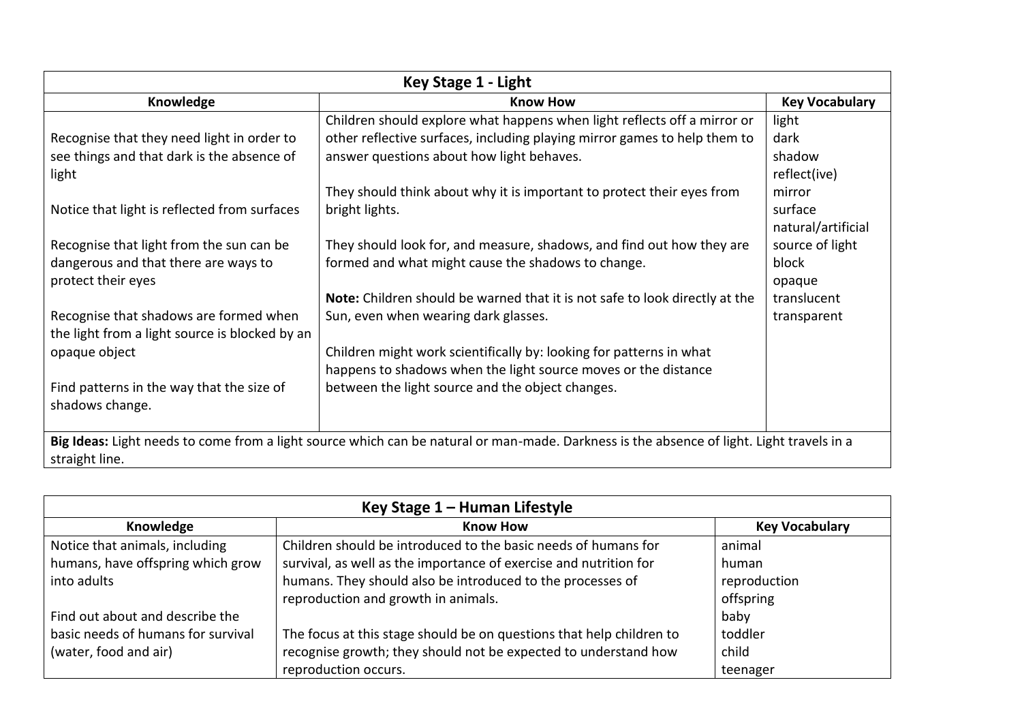| Key Stage 1 - Light                                                                                                                                         |                                                                             |                       |  |
|-------------------------------------------------------------------------------------------------------------------------------------------------------------|-----------------------------------------------------------------------------|-----------------------|--|
| Knowledge                                                                                                                                                   | <b>Know How</b>                                                             | <b>Key Vocabulary</b> |  |
|                                                                                                                                                             | Children should explore what happens when light reflects off a mirror or    | light                 |  |
| Recognise that they need light in order to                                                                                                                  | other reflective surfaces, including playing mirror games to help them to   | dark                  |  |
| see things and that dark is the absence of                                                                                                                  | answer questions about how light behaves.                                   | shadow                |  |
| light                                                                                                                                                       |                                                                             | reflect(ive)          |  |
|                                                                                                                                                             | They should think about why it is important to protect their eyes from      | mirror                |  |
| Notice that light is reflected from surfaces                                                                                                                | bright lights.                                                              | surface               |  |
|                                                                                                                                                             |                                                                             | natural/artificial    |  |
| Recognise that light from the sun can be                                                                                                                    | They should look for, and measure, shadows, and find out how they are       | source of light       |  |
| dangerous and that there are ways to                                                                                                                        | formed and what might cause the shadows to change.                          | block                 |  |
| protect their eyes                                                                                                                                          |                                                                             | opaque                |  |
|                                                                                                                                                             | Note: Children should be warned that it is not safe to look directly at the | translucent           |  |
| Recognise that shadows are formed when<br>the light from a light source is blocked by an                                                                    | Sun, even when wearing dark glasses.                                        | transparent           |  |
| opaque object                                                                                                                                               | Children might work scientifically by: looking for patterns in what         |                       |  |
|                                                                                                                                                             | happens to shadows when the light source moves or the distance              |                       |  |
| Find patterns in the way that the size of                                                                                                                   | between the light source and the object changes.                            |                       |  |
| shadows change.                                                                                                                                             |                                                                             |                       |  |
|                                                                                                                                                             |                                                                             |                       |  |
| Big Ideas: Light needs to come from a light source which can be natural or man-made. Darkness is the absence of light. Light travels in a<br>straight line. |                                                                             |                       |  |

| Key Stage 1 – Human Lifestyle      |                                                                      |                       |
|------------------------------------|----------------------------------------------------------------------|-----------------------|
| Knowledge                          | <b>Know How</b>                                                      | <b>Key Vocabulary</b> |
| Notice that animals, including     | Children should be introduced to the basic needs of humans for       | animal                |
| humans, have offspring which grow  | survival, as well as the importance of exercise and nutrition for    | human                 |
| into adults                        | humans. They should also be introduced to the processes of           | reproduction          |
|                                    | reproduction and growth in animals.                                  | offspring             |
| Find out about and describe the    |                                                                      | baby                  |
| basic needs of humans for survival | The focus at this stage should be on questions that help children to | toddler               |
| (water, food and air)              | recognise growth; they should not be expected to understand how      | child                 |
|                                    | reproduction occurs.                                                 | teenager              |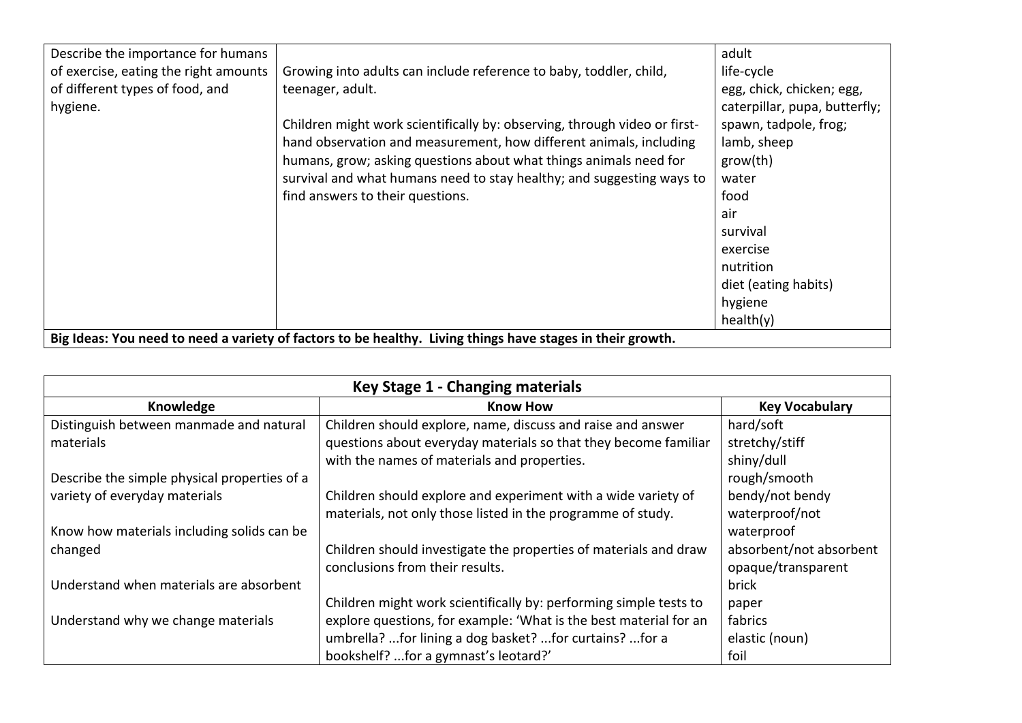| Describe the importance for humans                                                                         |                                                                           | adult                         |
|------------------------------------------------------------------------------------------------------------|---------------------------------------------------------------------------|-------------------------------|
| of exercise, eating the right amounts                                                                      | Growing into adults can include reference to baby, toddler, child,        | life-cycle                    |
|                                                                                                            |                                                                           |                               |
| of different types of food, and                                                                            | teenager, adult.                                                          | egg, chick, chicken; egg,     |
| hygiene.                                                                                                   |                                                                           | caterpillar, pupa, butterfly; |
|                                                                                                            | Children might work scientifically by: observing, through video or first- | spawn, tadpole, frog;         |
|                                                                                                            | hand observation and measurement, how different animals, including        | lamb, sheep                   |
|                                                                                                            | humans, grow; asking questions about what things animals need for         | grow(th)                      |
|                                                                                                            | survival and what humans need to stay healthy; and suggesting ways to     | water                         |
|                                                                                                            | find answers to their questions.                                          | food                          |
|                                                                                                            |                                                                           | air                           |
|                                                                                                            |                                                                           | survival                      |
|                                                                                                            |                                                                           | exercise                      |
|                                                                                                            |                                                                           | nutrition                     |
|                                                                                                            |                                                                           | diet (eating habits)          |
|                                                                                                            |                                                                           | hygiene                       |
|                                                                                                            |                                                                           | health(y)                     |
| Big Ideas: You need to need a variety of factors to be healthy. Living things have stages in their growth. |                                                                           |                               |

| Key Stage 1 - Changing materials             |                                                                   |                         |  |
|----------------------------------------------|-------------------------------------------------------------------|-------------------------|--|
| Knowledge                                    | <b>Know How</b>                                                   | <b>Key Vocabulary</b>   |  |
| Distinguish between manmade and natural      | Children should explore, name, discuss and raise and answer       | hard/soft               |  |
| materials                                    | questions about everyday materials so that they become familiar   | stretchy/stiff          |  |
|                                              | with the names of materials and properties.                       | shiny/dull              |  |
| Describe the simple physical properties of a |                                                                   | rough/smooth            |  |
| variety of everyday materials                | Children should explore and experiment with a wide variety of     | bendy/not bendy         |  |
|                                              | materials, not only those listed in the programme of study.       | waterproof/not          |  |
| Know how materials including solids can be   |                                                                   | waterproof              |  |
| changed                                      | Children should investigate the properties of materials and draw  | absorbent/not absorbent |  |
|                                              | conclusions from their results.                                   | opaque/transparent      |  |
| Understand when materials are absorbent      |                                                                   | brick                   |  |
|                                              | Children might work scientifically by: performing simple tests to | paper                   |  |
| Understand why we change materials           | explore questions, for example: 'What is the best material for an | fabrics                 |  |
|                                              | umbrella? for lining a dog basket? for curtains? for a            | elastic (noun)          |  |
|                                              | bookshelf? for a gymnast's leotard?'                              | foil                    |  |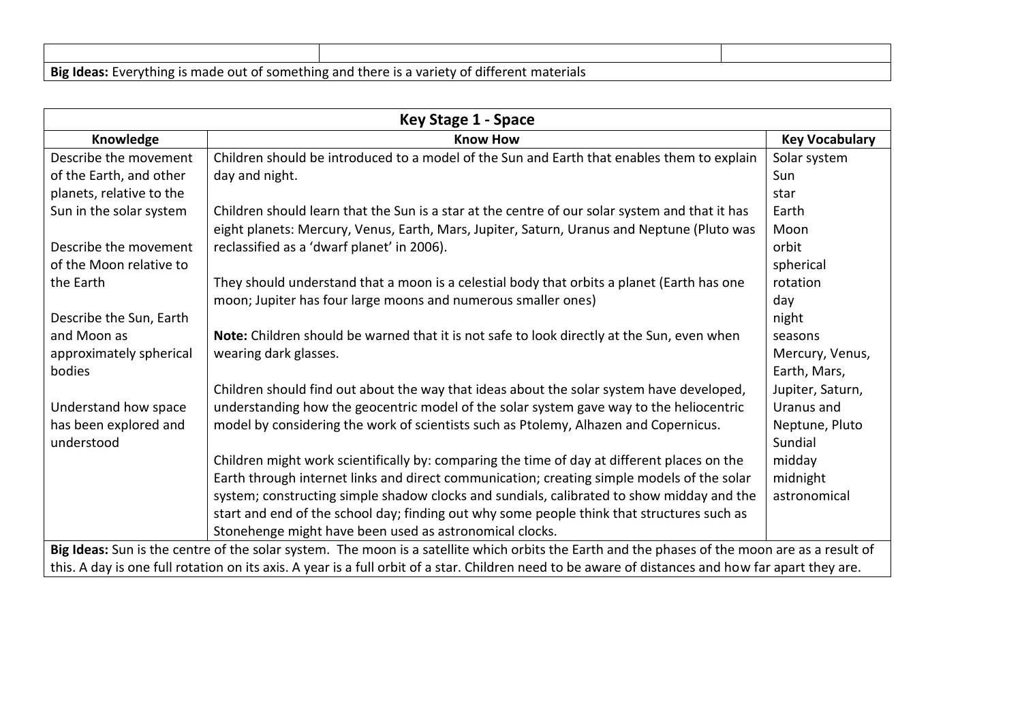| Big Ideas: Everything is made out of something and there is a variety of different materials |  |
|----------------------------------------------------------------------------------------------|--|

| Key Stage 1 - Space                                                                                                                            |                                                                                                                                                    |                       |
|------------------------------------------------------------------------------------------------------------------------------------------------|----------------------------------------------------------------------------------------------------------------------------------------------------|-----------------------|
| Knowledge                                                                                                                                      | <b>Know How</b>                                                                                                                                    | <b>Key Vocabulary</b> |
| Describe the movement                                                                                                                          | Children should be introduced to a model of the Sun and Earth that enables them to explain                                                         | Solar system          |
| of the Earth, and other                                                                                                                        | day and night.                                                                                                                                     | Sun                   |
| planets, relative to the                                                                                                                       |                                                                                                                                                    | star                  |
| Sun in the solar system                                                                                                                        | Children should learn that the Sun is a star at the centre of our solar system and that it has                                                     | Earth                 |
|                                                                                                                                                | eight planets: Mercury, Venus, Earth, Mars, Jupiter, Saturn, Uranus and Neptune (Pluto was                                                         | Moon                  |
| Describe the movement                                                                                                                          | reclassified as a 'dwarf planet' in 2006).                                                                                                         | orbit                 |
| of the Moon relative to                                                                                                                        |                                                                                                                                                    | spherical             |
| the Earth                                                                                                                                      | They should understand that a moon is a celestial body that orbits a planet (Earth has one                                                         | rotation              |
|                                                                                                                                                | moon; Jupiter has four large moons and numerous smaller ones)                                                                                      | day                   |
| Describe the Sun, Earth                                                                                                                        |                                                                                                                                                    | night                 |
| and Moon as                                                                                                                                    | Note: Children should be warned that it is not safe to look directly at the Sun, even when                                                         | seasons               |
| approximately spherical                                                                                                                        | wearing dark glasses.                                                                                                                              | Mercury, Venus,       |
| bodies                                                                                                                                         |                                                                                                                                                    | Earth, Mars,          |
|                                                                                                                                                | Children should find out about the way that ideas about the solar system have developed,                                                           | Jupiter, Saturn,      |
| Understand how space                                                                                                                           | understanding how the geocentric model of the solar system gave way to the heliocentric                                                            | Uranus and            |
| has been explored and                                                                                                                          | model by considering the work of scientists such as Ptolemy, Alhazen and Copernicus.                                                               | Neptune, Pluto        |
| understood                                                                                                                                     |                                                                                                                                                    | Sundial               |
|                                                                                                                                                | Children might work scientifically by: comparing the time of day at different places on the                                                        | midday                |
|                                                                                                                                                | Earth through internet links and direct communication; creating simple models of the solar                                                         | midnight              |
|                                                                                                                                                | system; constructing simple shadow clocks and sundials, calibrated to show midday and the                                                          | astronomical          |
|                                                                                                                                                | start and end of the school day; finding out why some people think that structures such as                                                         |                       |
|                                                                                                                                                | Stonehenge might have been used as astronomical clocks.                                                                                            |                       |
| Big Ideas: Sun is the centre of the solar system. The moon is a satellite which orbits the Earth and the phases of the moon are as a result of |                                                                                                                                                    |                       |
|                                                                                                                                                | this. A day is one full rotation on its axis. A year is a full orbit of a star. Children need to be aware of distances and how far apart they are. |                       |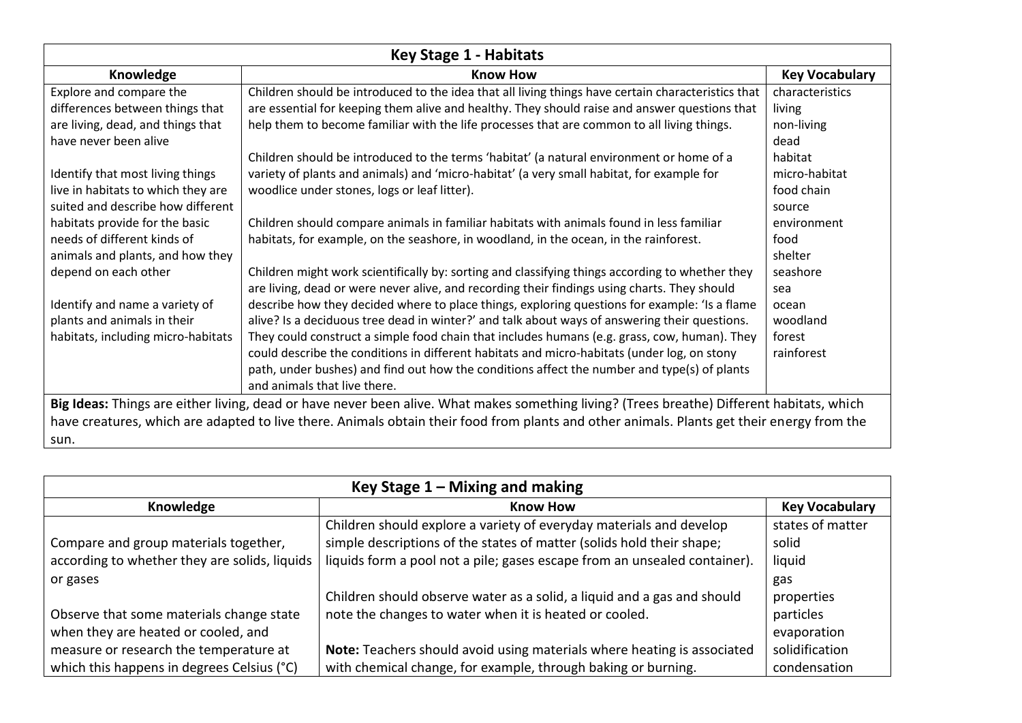| <b>Key Stage 1 - Habitats</b>                                                                                                              |                                                                                                                                            |                       |
|--------------------------------------------------------------------------------------------------------------------------------------------|--------------------------------------------------------------------------------------------------------------------------------------------|-----------------------|
| Knowledge                                                                                                                                  | <b>Know How</b>                                                                                                                            | <b>Key Vocabulary</b> |
| Explore and compare the                                                                                                                    | Children should be introduced to the idea that all living things have certain characteristics that                                         | characteristics       |
| differences between things that                                                                                                            | are essential for keeping them alive and healthy. They should raise and answer questions that                                              | living                |
| are living, dead, and things that                                                                                                          | help them to become familiar with the life processes that are common to all living things.                                                 | non-living            |
| have never been alive                                                                                                                      |                                                                                                                                            | dead                  |
|                                                                                                                                            | Children should be introduced to the terms 'habitat' (a natural environment or home of a                                                   | habitat               |
| Identify that most living things                                                                                                           | variety of plants and animals) and 'micro-habitat' (a very small habitat, for example for                                                  | micro-habitat         |
| live in habitats to which they are                                                                                                         | woodlice under stones, logs or leaf litter).                                                                                               | food chain            |
| suited and describe how different                                                                                                          |                                                                                                                                            | source                |
| habitats provide for the basic                                                                                                             | Children should compare animals in familiar habitats with animals found in less familiar                                                   | environment           |
| needs of different kinds of                                                                                                                | habitats, for example, on the seashore, in woodland, in the ocean, in the rainforest.                                                      | food                  |
| animals and plants, and how they                                                                                                           |                                                                                                                                            | shelter               |
| depend on each other                                                                                                                       | Children might work scientifically by: sorting and classifying things according to whether they                                            | seashore              |
|                                                                                                                                            | are living, dead or were never alive, and recording their findings using charts. They should                                               | sea                   |
| Identify and name a variety of                                                                                                             | describe how they decided where to place things, exploring questions for example: 'Is a flame                                              | ocean                 |
| plants and animals in their                                                                                                                | alive? Is a deciduous tree dead in winter?' and talk about ways of answering their questions.                                              | woodland              |
| habitats, including micro-habitats                                                                                                         | They could construct a simple food chain that includes humans (e.g. grass, cow, human). They                                               | forest                |
|                                                                                                                                            | could describe the conditions in different habitats and micro-habitats (under log, on stony                                                | rainforest            |
|                                                                                                                                            | path, under bushes) and find out how the conditions affect the number and type(s) of plants                                                |                       |
|                                                                                                                                            | and animals that live there.                                                                                                               |                       |
| Big Ideas: Things are either living, dead or have never been alive. What makes something living? (Trees breathe) Different habitats, which |                                                                                                                                            |                       |
|                                                                                                                                            | have creatures, which are adapted to live there. Animals obtain their food from plants and other animals. Plants get their energy from the |                       |
| sun.                                                                                                                                       |                                                                                                                                            |                       |

| Key Stage $1 -$ Mixing and making             |                                                                           |                       |  |
|-----------------------------------------------|---------------------------------------------------------------------------|-----------------------|--|
| Knowledge                                     | <b>Know How</b>                                                           | <b>Key Vocabulary</b> |  |
|                                               | Children should explore a variety of everyday materials and develop       | states of matter      |  |
| Compare and group materials together,         | simple descriptions of the states of matter (solids hold their shape;     | solid                 |  |
| according to whether they are solids, liquids | liquids form a pool not a pile; gases escape from an unsealed container). | liquid                |  |
| or gases                                      |                                                                           | gas                   |  |
|                                               | Children should observe water as a solid, a liquid and a gas and should   | properties            |  |
| Observe that some materials change state      | note the changes to water when it is heated or cooled.                    | particles             |  |
| when they are heated or cooled, and           |                                                                           | evaporation           |  |
| measure or research the temperature at        | Note: Teachers should avoid using materials where heating is associated   | solidification        |  |
| which this happens in degrees Celsius (°C)    | with chemical change, for example, through baking or burning.             | condensation          |  |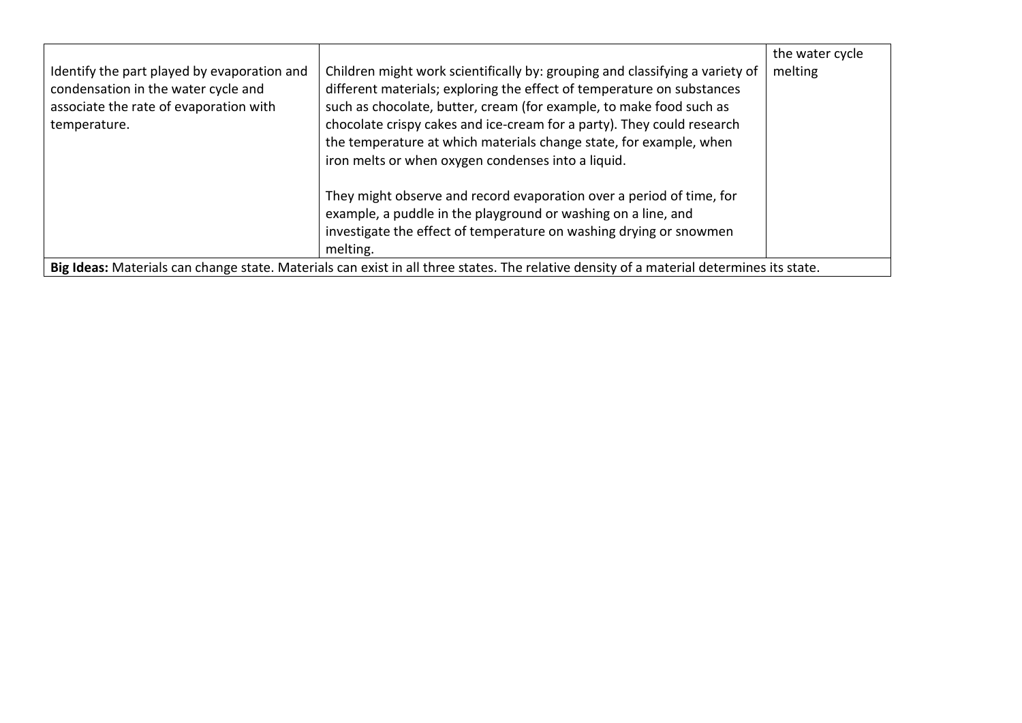| Identify the part played by evaporation and<br>condensation in the water cycle and | Children might work scientifically by: grouping and classifying a variety of<br>different materials; exploring the effect of temperature on substances                                                                  | the water cycle<br>melting |  |
|------------------------------------------------------------------------------------|-------------------------------------------------------------------------------------------------------------------------------------------------------------------------------------------------------------------------|----------------------------|--|
| associate the rate of evaporation with<br>temperature.                             | such as chocolate, butter, cream (for example, to make food such as<br>chocolate crispy cakes and ice-cream for a party). They could research                                                                           |                            |  |
|                                                                                    | the temperature at which materials change state, for example, when<br>iron melts or when oxygen condenses into a liquid.                                                                                                |                            |  |
|                                                                                    | They might observe and record evaporation over a period of time, for<br>example, a puddle in the playground or washing on a line, and<br>investigate the effect of temperature on washing drying or snowmen<br>melting. |                            |  |
|                                                                                    |                                                                                                                                                                                                                         |                            |  |
|                                                                                    | Big Ideas: Materials can change state. Materials can exist in all three states. The relative density of a material determines its state.                                                                                |                            |  |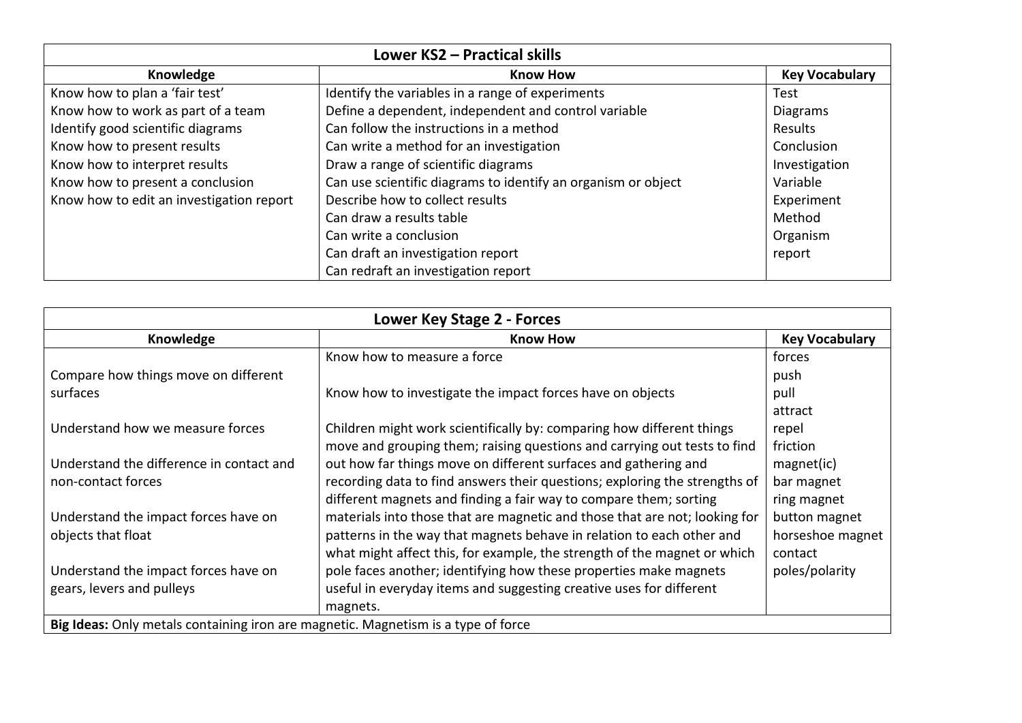| Lower KS2 - Practical skills             |                                                               |                       |  |
|------------------------------------------|---------------------------------------------------------------|-----------------------|--|
| Knowledge                                | <b>Know How</b>                                               | <b>Key Vocabulary</b> |  |
| Know how to plan a 'fair test'           | Identify the variables in a range of experiments              | Test                  |  |
| Know how to work as part of a team       | Define a dependent, independent and control variable          | <b>Diagrams</b>       |  |
| Identify good scientific diagrams        | Can follow the instructions in a method                       | Results               |  |
| Know how to present results              | Can write a method for an investigation                       | Conclusion            |  |
| Know how to interpret results            | Draw a range of scientific diagrams                           | Investigation         |  |
| Know how to present a conclusion         | Can use scientific diagrams to identify an organism or object | Variable              |  |
| Know how to edit an investigation report | Describe how to collect results                               | Experiment            |  |
|                                          | Can draw a results table                                      | Method                |  |
|                                          | Can write a conclusion                                        | Organism              |  |
|                                          | Can draft an investigation report                             | report                |  |
|                                          | Can redraft an investigation report                           |                       |  |

| Lower Key Stage 2 - Forces                                                        |                                                                            |                       |
|-----------------------------------------------------------------------------------|----------------------------------------------------------------------------|-----------------------|
| Knowledge                                                                         | <b>Know How</b>                                                            | <b>Key Vocabulary</b> |
|                                                                                   | Know how to measure a force                                                | forces                |
| Compare how things move on different                                              |                                                                            | push                  |
| surfaces                                                                          | Know how to investigate the impact forces have on objects                  | pull                  |
|                                                                                   |                                                                            | attract               |
| Understand how we measure forces                                                  | Children might work scientifically by: comparing how different things      | repel                 |
|                                                                                   | move and grouping them; raising questions and carrying out tests to find   | friction              |
| Understand the difference in contact and                                          | out how far things move on different surfaces and gathering and            | magnet(ic)            |
| non-contact forces                                                                | recording data to find answers their questions; exploring the strengths of | bar magnet            |
|                                                                                   | different magnets and finding a fair way to compare them; sorting          | ring magnet           |
| Understand the impact forces have on                                              | materials into those that are magnetic and those that are not; looking for | button magnet         |
| objects that float                                                                | patterns in the way that magnets behave in relation to each other and      | horseshoe magnet      |
|                                                                                   | what might affect this, for example, the strength of the magnet or which   | contact               |
| Understand the impact forces have on                                              | pole faces another; identifying how these properties make magnets          | poles/polarity        |
| gears, levers and pulleys                                                         | useful in everyday items and suggesting creative uses for different        |                       |
|                                                                                   | magnets.                                                                   |                       |
| Big Ideas: Only metals containing iron are magnetic. Magnetism is a type of force |                                                                            |                       |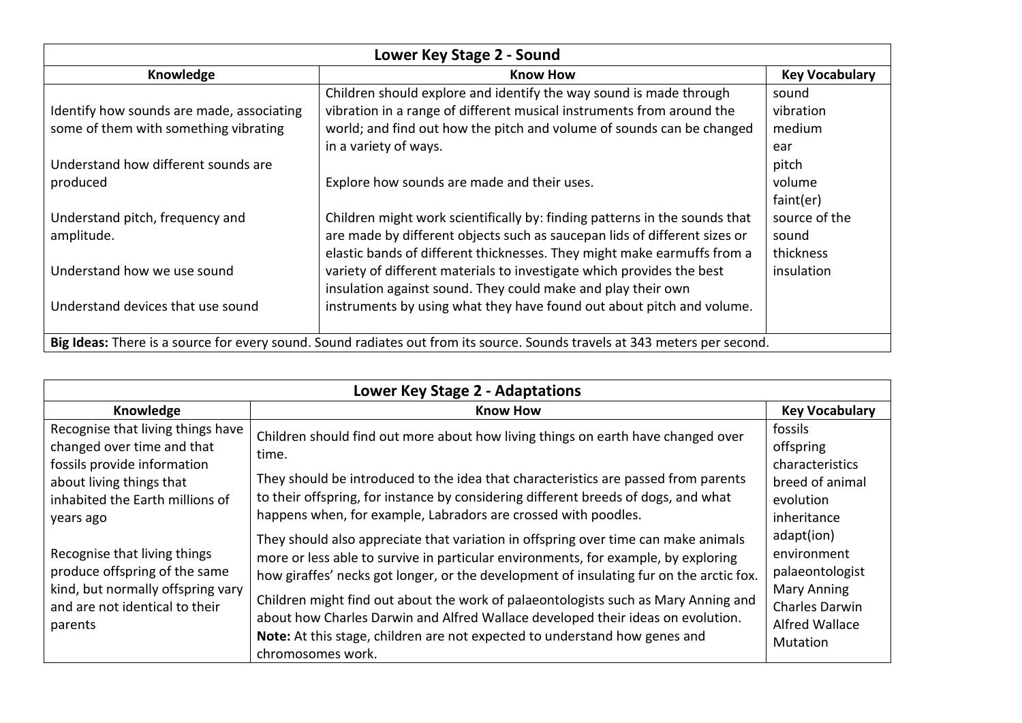| Lower Key Stage 2 - Sound                                                                                                             |                                                                                                                                                                                                                                                                                                                                                                                                                                                      |                                                                |  |
|---------------------------------------------------------------------------------------------------------------------------------------|------------------------------------------------------------------------------------------------------------------------------------------------------------------------------------------------------------------------------------------------------------------------------------------------------------------------------------------------------------------------------------------------------------------------------------------------------|----------------------------------------------------------------|--|
| Knowledge                                                                                                                             | <b>Know How</b>                                                                                                                                                                                                                                                                                                                                                                                                                                      | <b>Key Vocabulary</b>                                          |  |
| Identify how sounds are made, associating<br>some of them with something vibrating<br>Understand how different sounds are<br>produced | Children should explore and identify the way sound is made through<br>vibration in a range of different musical instruments from around the<br>world; and find out how the pitch and volume of sounds can be changed<br>in a variety of ways.<br>Explore how sounds are made and their uses.                                                                                                                                                         | sound<br>vibration<br>medium<br>ear<br>pitch<br>volume         |  |
| Understand pitch, frequency and<br>amplitude.<br>Understand how we use sound<br>Understand devices that use sound                     | Children might work scientifically by: finding patterns in the sounds that<br>are made by different objects such as saucepan lids of different sizes or<br>elastic bands of different thicknesses. They might make earmuffs from a<br>variety of different materials to investigate which provides the best<br>insulation against sound. They could make and play their own<br>instruments by using what they have found out about pitch and volume. | faint(er)<br>source of the<br>sound<br>thickness<br>insulation |  |
| Big Ideas: There is a source for every sound. Sound radiates out from its source. Sounds travels at 343 meters per second.            |                                                                                                                                                                                                                                                                                                                                                                                                                                                      |                                                                |  |

| <b>Lower Key Stage 2 - Adaptations</b>                                                                                                          |                                                                                                                                                                                                                                                                                                                                                                                                                                                                                                                            |                                                                                                                                         |
|-------------------------------------------------------------------------------------------------------------------------------------------------|----------------------------------------------------------------------------------------------------------------------------------------------------------------------------------------------------------------------------------------------------------------------------------------------------------------------------------------------------------------------------------------------------------------------------------------------------------------------------------------------------------------------------|-----------------------------------------------------------------------------------------------------------------------------------------|
| Knowledge                                                                                                                                       | <b>Know How</b>                                                                                                                                                                                                                                                                                                                                                                                                                                                                                                            | <b>Key Vocabulary</b>                                                                                                                   |
| Recognise that living things have<br>changed over time and that<br>fossils provide information                                                  | Children should find out more about how living things on earth have changed over<br>time.                                                                                                                                                                                                                                                                                                                                                                                                                                  | fossils<br>offspring<br>characteristics                                                                                                 |
| about living things that<br>inhabited the Earth millions of<br>years ago                                                                        | They should be introduced to the idea that characteristics are passed from parents<br>to their offspring, for instance by considering different breeds of dogs, and what<br>happens when, for example, Labradors are crossed with poodles.                                                                                                                                                                                                                                                                                 | breed of animal<br>evolution<br>inheritance                                                                                             |
| Recognise that living things<br>produce offspring of the same<br>kind, but normally offspring vary<br>and are not identical to their<br>parents | They should also appreciate that variation in offspring over time can make animals<br>more or less able to survive in particular environments, for example, by exploring<br>how giraffes' necks got longer, or the development of insulating fur on the arctic fox.<br>Children might find out about the work of palaeontologists such as Mary Anning and<br>about how Charles Darwin and Alfred Wallace developed their ideas on evolution.<br>Note: At this stage, children are not expected to understand how genes and | adapt(ion)<br>environment<br>palaeontologist<br><b>Mary Anning</b><br><b>Charles Darwin</b><br><b>Alfred Wallace</b><br><b>Mutation</b> |
|                                                                                                                                                 | chromosomes work.                                                                                                                                                                                                                                                                                                                                                                                                                                                                                                          |                                                                                                                                         |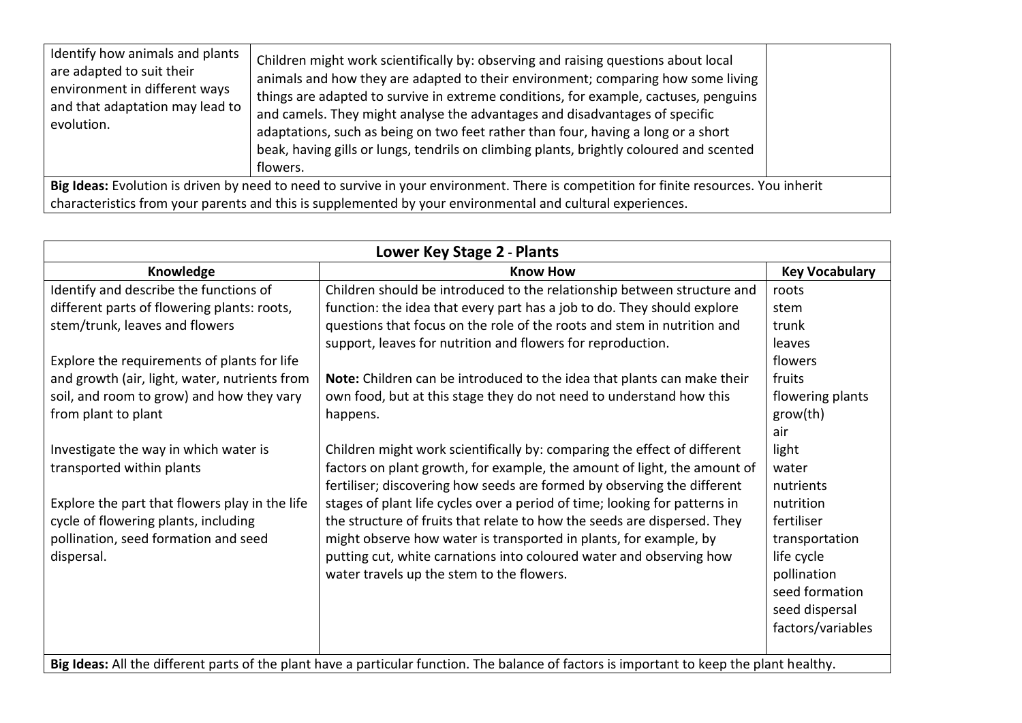| Identify how animals and plants<br>are adapted to suit their<br>environment in different ways<br>and that adaptation may lead to<br>evolution. | Children might work scientifically by: observing and raising questions about local<br>animals and how they are adapted to their environment; comparing how some living<br>things are adapted to survive in extreme conditions, for example, cactuses, penguins<br>and camels. They might analyse the advantages and disadvantages of specific<br>adaptations, such as being on two feet rather than four, having a long or a short<br>beak, having gills or lungs, tendrils on climbing plants, brightly coloured and scented<br>flowers. |  |
|------------------------------------------------------------------------------------------------------------------------------------------------|-------------------------------------------------------------------------------------------------------------------------------------------------------------------------------------------------------------------------------------------------------------------------------------------------------------------------------------------------------------------------------------------------------------------------------------------------------------------------------------------------------------------------------------------|--|
| Big Ideas: Evolution is driven by need to need to survive in your environment. There is competition for finite resources. You inherit          |                                                                                                                                                                                                                                                                                                                                                                                                                                                                                                                                           |  |
| characteristics from your parents and this is supplemented by your environmental and cultural experiences.                                     |                                                                                                                                                                                                                                                                                                                                                                                                                                                                                                                                           |  |

| Lower Key Stage 2 - Plants                                                                                                                 |                                                                            |                       |  |
|--------------------------------------------------------------------------------------------------------------------------------------------|----------------------------------------------------------------------------|-----------------------|--|
| Knowledge                                                                                                                                  | <b>Know How</b>                                                            | <b>Key Vocabulary</b> |  |
| Identify and describe the functions of                                                                                                     | Children should be introduced to the relationship between structure and    | roots                 |  |
| different parts of flowering plants: roots,                                                                                                | function: the idea that every part has a job to do. They should explore    | stem                  |  |
| stem/trunk, leaves and flowers                                                                                                             | questions that focus on the role of the roots and stem in nutrition and    | trunk                 |  |
|                                                                                                                                            | support, leaves for nutrition and flowers for reproduction.                | leaves                |  |
| Explore the requirements of plants for life                                                                                                |                                                                            | flowers               |  |
| and growth (air, light, water, nutrients from                                                                                              | Note: Children can be introduced to the idea that plants can make their    | fruits                |  |
| soil, and room to grow) and how they vary                                                                                                  | own food, but at this stage they do not need to understand how this        | flowering plants      |  |
| from plant to plant                                                                                                                        | happens.                                                                   | grow(th)              |  |
|                                                                                                                                            |                                                                            | air                   |  |
| Investigate the way in which water is                                                                                                      | Children might work scientifically by: comparing the effect of different   | light                 |  |
| transported within plants                                                                                                                  | factors on plant growth, for example, the amount of light, the amount of   | water                 |  |
|                                                                                                                                            | fertiliser; discovering how seeds are formed by observing the different    | nutrients             |  |
| Explore the part that flowers play in the life                                                                                             | stages of plant life cycles over a period of time; looking for patterns in | nutrition             |  |
| cycle of flowering plants, including                                                                                                       | the structure of fruits that relate to how the seeds are dispersed. They   | fertiliser            |  |
| pollination, seed formation and seed                                                                                                       | might observe how water is transported in plants, for example, by          | transportation        |  |
| dispersal.                                                                                                                                 | putting cut, white carnations into coloured water and observing how        | life cycle            |  |
|                                                                                                                                            | water travels up the stem to the flowers.                                  | pollination           |  |
|                                                                                                                                            |                                                                            | seed formation        |  |
|                                                                                                                                            |                                                                            | seed dispersal        |  |
|                                                                                                                                            |                                                                            | factors/variables     |  |
|                                                                                                                                            |                                                                            |                       |  |
| Big Ideas: All the different parts of the plant have a particular function. The balance of factors is important to keep the plant healthy. |                                                                            |                       |  |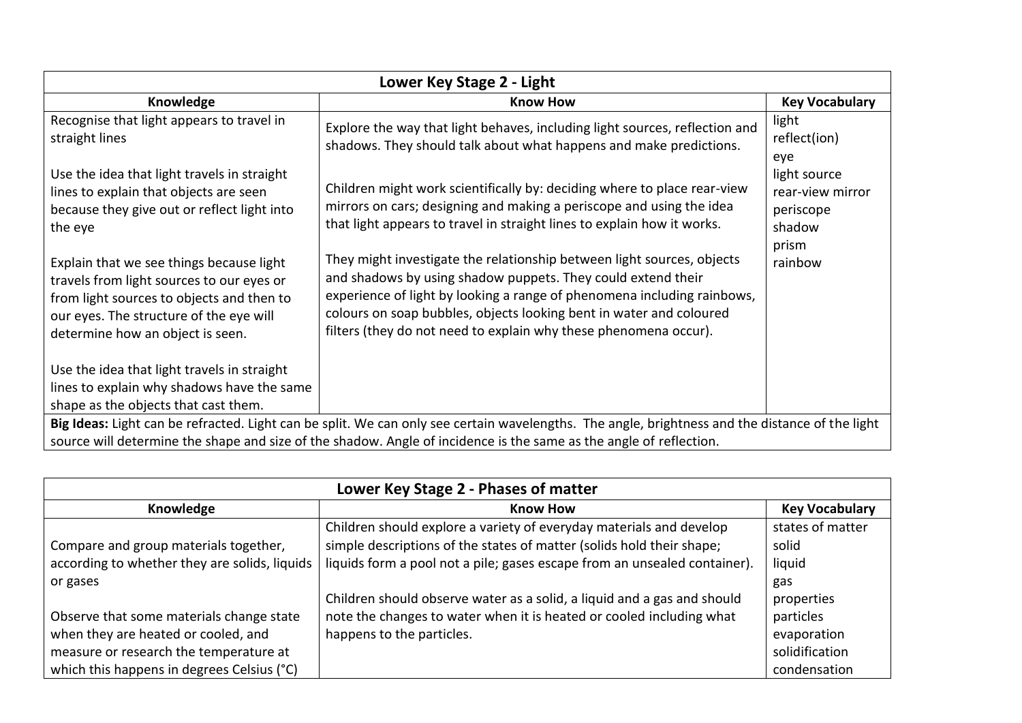| Lower Key Stage 2 - Light                                                                                                                                                                                                                                             |                                                                                                                                                                                                                                                                                                                                                              |                                                                  |  |
|-----------------------------------------------------------------------------------------------------------------------------------------------------------------------------------------------------------------------------------------------------------------------|--------------------------------------------------------------------------------------------------------------------------------------------------------------------------------------------------------------------------------------------------------------------------------------------------------------------------------------------------------------|------------------------------------------------------------------|--|
| Knowledge                                                                                                                                                                                                                                                             | <b>Know How</b>                                                                                                                                                                                                                                                                                                                                              | <b>Key Vocabulary</b>                                            |  |
| Recognise that light appears to travel in<br>straight lines                                                                                                                                                                                                           | Explore the way that light behaves, including light sources, reflection and<br>shadows. They should talk about what happens and make predictions.                                                                                                                                                                                                            | light<br>reflect(ion)<br>eye                                     |  |
| Use the idea that light travels in straight<br>lines to explain that objects are seen<br>because they give out or reflect light into<br>the eye                                                                                                                       | Children might work scientifically by: deciding where to place rear-view<br>mirrors on cars; designing and making a periscope and using the idea<br>that light appears to travel in straight lines to explain how it works.                                                                                                                                  | light source<br>rear-view mirror<br>periscope<br>shadow<br>prism |  |
| Explain that we see things because light<br>travels from light sources to our eyes or<br>from light sources to objects and then to<br>our eyes. The structure of the eye will<br>determine how an object is seen.                                                     | They might investigate the relationship between light sources, objects<br>and shadows by using shadow puppets. They could extend their<br>experience of light by looking a range of phenomena including rainbows,<br>colours on soap bubbles, objects looking bent in water and coloured<br>filters (they do not need to explain why these phenomena occur). | rainbow                                                          |  |
| Use the idea that light travels in straight<br>lines to explain why shadows have the same<br>shape as the objects that cast them.                                                                                                                                     |                                                                                                                                                                                                                                                                                                                                                              |                                                                  |  |
| Big Ideas: Light can be refracted. Light can be split. We can only see certain wavelengths. The angle, brightness and the distance of the light<br>source will determine the shape and size of the shadow. Angle of incidence is the same as the angle of reflection. |                                                                                                                                                                                                                                                                                                                                                              |                                                                  |  |

| Lower Key Stage 2 - Phases of matter          |                                                                           |                       |
|-----------------------------------------------|---------------------------------------------------------------------------|-----------------------|
| Knowledge                                     | <b>Know How</b>                                                           | <b>Key Vocabulary</b> |
|                                               | Children should explore a variety of everyday materials and develop       | states of matter      |
| Compare and group materials together,         | simple descriptions of the states of matter (solids hold their shape;     | solid                 |
| according to whether they are solids, liquids | liquids form a pool not a pile; gases escape from an unsealed container). | liquid                |
| or gases                                      |                                                                           | gas                   |
|                                               | Children should observe water as a solid, a liquid and a gas and should   | properties            |
| Observe that some materials change state      | note the changes to water when it is heated or cooled including what      | particles             |
| when they are heated or cooled, and           | happens to the particles.                                                 | evaporation           |
| measure or research the temperature at        |                                                                           | solidification        |
| which this happens in degrees Celsius (°C)    |                                                                           | condensation          |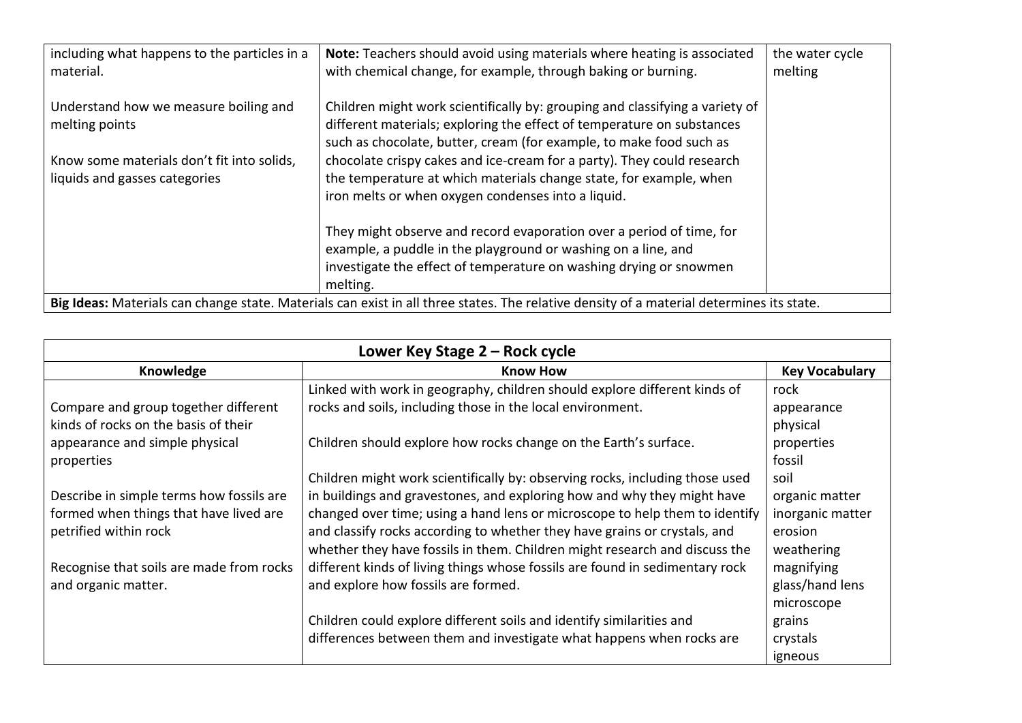| including what happens to the particles in a<br>material.                                                                                | Note: Teachers should avoid using materials where heating is associated<br>with chemical change, for example, through baking or burning.                                                                                                                                                                                                                                                                                            | the water cycle<br>melting |
|------------------------------------------------------------------------------------------------------------------------------------------|-------------------------------------------------------------------------------------------------------------------------------------------------------------------------------------------------------------------------------------------------------------------------------------------------------------------------------------------------------------------------------------------------------------------------------------|----------------------------|
| Understand how we measure boiling and<br>melting points<br>Know some materials don't fit into solids,<br>liquids and gasses categories   | Children might work scientifically by: grouping and classifying a variety of<br>different materials; exploring the effect of temperature on substances<br>such as chocolate, butter, cream (for example, to make food such as<br>chocolate crispy cakes and ice-cream for a party). They could research<br>the temperature at which materials change state, for example, when<br>iron melts or when oxygen condenses into a liquid. |                            |
|                                                                                                                                          | They might observe and record evaporation over a period of time, for<br>example, a puddle in the playground or washing on a line, and<br>investigate the effect of temperature on washing drying or snowmen<br>melting.                                                                                                                                                                                                             |                            |
| Big Ideas: Materials can change state. Materials can exist in all three states. The relative density of a material determines its state. |                                                                                                                                                                                                                                                                                                                                                                                                                                     |                            |

| Lower Key Stage 2 - Rock cycle           |                                                                              |                       |
|------------------------------------------|------------------------------------------------------------------------------|-----------------------|
| Knowledge                                | <b>Know How</b>                                                              | <b>Key Vocabulary</b> |
|                                          | Linked with work in geography, children should explore different kinds of    | rock                  |
| Compare and group together different     | rocks and soils, including those in the local environment.                   | appearance            |
| kinds of rocks on the basis of their     |                                                                              | physical              |
| appearance and simple physical           | Children should explore how rocks change on the Earth's surface.             | properties            |
| properties                               |                                                                              | fossil                |
|                                          | Children might work scientifically by: observing rocks, including those used | soil                  |
| Describe in simple terms how fossils are | in buildings and gravestones, and exploring how and why they might have      | organic matter        |
| formed when things that have lived are   | changed over time; using a hand lens or microscope to help them to identify  | inorganic matter      |
| petrified within rock                    | and classify rocks according to whether they have grains or crystals, and    | erosion               |
|                                          | whether they have fossils in them. Children might research and discuss the   | weathering            |
| Recognise that soils are made from rocks | different kinds of living things whose fossils are found in sedimentary rock | magnifying            |
| and organic matter.                      | and explore how fossils are formed.                                          | glass/hand lens       |
|                                          |                                                                              | microscope            |
|                                          | Children could explore different soils and identify similarities and         | grains                |
|                                          | differences between them and investigate what happens when rocks are         | crystals              |
|                                          |                                                                              | igneous               |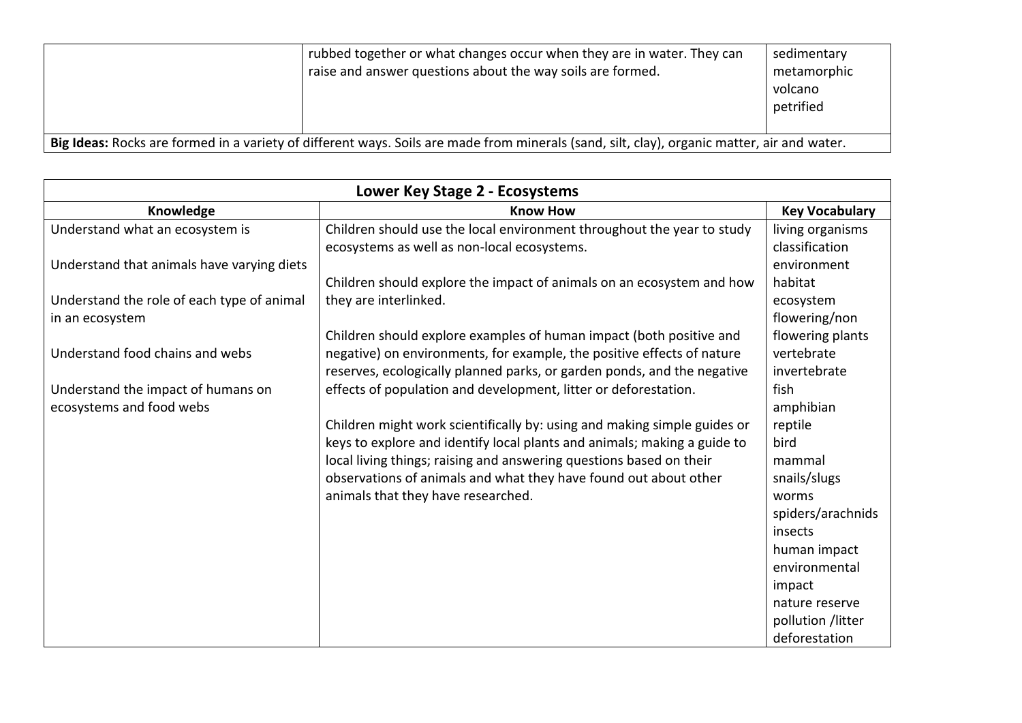|                                                                                                                                             | rubbed together or what changes occur when they are in water. They can<br>raise and answer questions about the way soils are formed. | sedimentary<br>metamorphic<br>volcano<br>petrified |
|---------------------------------------------------------------------------------------------------------------------------------------------|--------------------------------------------------------------------------------------------------------------------------------------|----------------------------------------------------|
| Big Ideas: Rocks are formed in a variety of different ways. Soils are made from minerals (sand, silt, clay), organic matter, air and water. |                                                                                                                                      |                                                    |

| Lower Key Stage 2 - Ecosystems             |                                                                          |                       |
|--------------------------------------------|--------------------------------------------------------------------------|-----------------------|
| Knowledge                                  | <b>Know How</b>                                                          | <b>Key Vocabulary</b> |
| Understand what an ecosystem is            | Children should use the local environment throughout the year to study   | living organisms      |
|                                            | ecosystems as well as non-local ecosystems.                              | classification        |
| Understand that animals have varying diets |                                                                          | environment           |
|                                            | Children should explore the impact of animals on an ecosystem and how    | habitat               |
| Understand the role of each type of animal | they are interlinked.                                                    | ecosystem             |
| in an ecosystem                            |                                                                          | flowering/non         |
|                                            | Children should explore examples of human impact (both positive and      | flowering plants      |
| Understand food chains and webs            | negative) on environments, for example, the positive effects of nature   | vertebrate            |
|                                            | reserves, ecologically planned parks, or garden ponds, and the negative  | invertebrate          |
| Understand the impact of humans on         | effects of population and development, litter or deforestation.          | fish                  |
| ecosystems and food webs                   |                                                                          | amphibian             |
|                                            | Children might work scientifically by: using and making simple guides or | reptile               |
|                                            | keys to explore and identify local plants and animals; making a guide to | bird                  |
|                                            | local living things; raising and answering questions based on their      | mammal                |
|                                            | observations of animals and what they have found out about other         | snails/slugs          |
|                                            | animals that they have researched.                                       | worms                 |
|                                            |                                                                          | spiders/arachnids     |
|                                            |                                                                          | insects               |
|                                            |                                                                          | human impact          |
|                                            |                                                                          | environmental         |
|                                            |                                                                          | impact                |
|                                            |                                                                          | nature reserve        |
|                                            |                                                                          | pollution /litter     |
|                                            |                                                                          | deforestation         |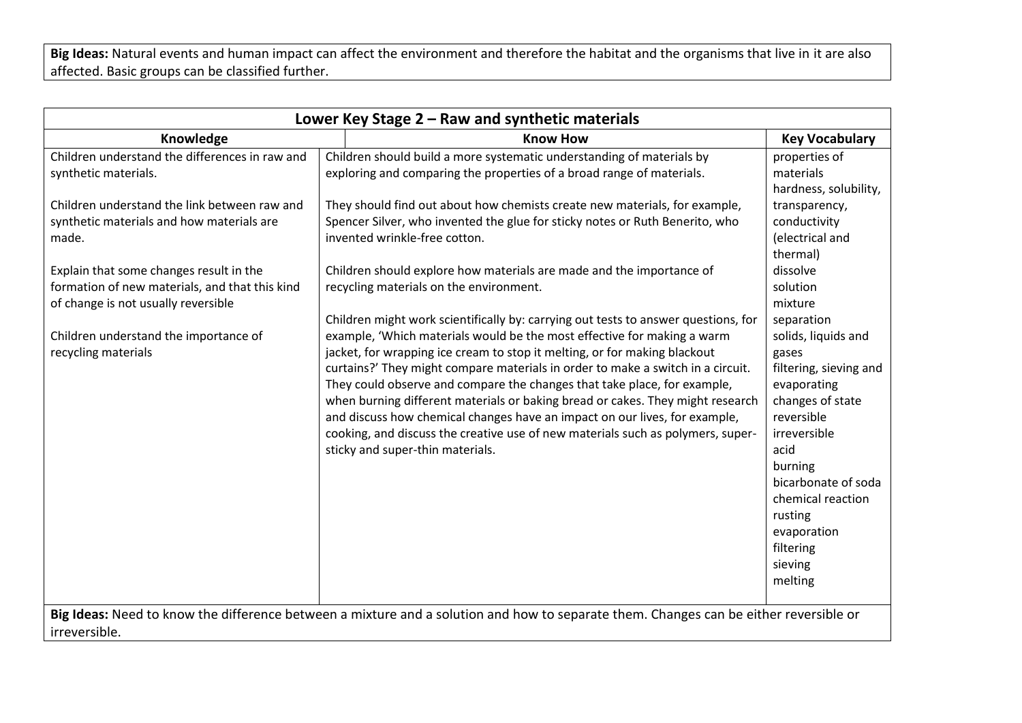**Big Ideas:** Natural events and human impact can affect the environment and therefore the habitat and the organisms that live in it are also affected. Basic groups can be classified further.

| Lower Key Stage 2 - Raw and synthetic materials                                                                                                                                                                                                                                                                                                                                  |                                                                                                                                                                                                                                                                                                                                                                                                                                                                                                                                                                                                                                                                                                                                                                                                                                                                                                                                                                                                                                                                                                                                                                      |                                                                                                                                                                                                                                                                                                                                           |  |
|----------------------------------------------------------------------------------------------------------------------------------------------------------------------------------------------------------------------------------------------------------------------------------------------------------------------------------------------------------------------------------|----------------------------------------------------------------------------------------------------------------------------------------------------------------------------------------------------------------------------------------------------------------------------------------------------------------------------------------------------------------------------------------------------------------------------------------------------------------------------------------------------------------------------------------------------------------------------------------------------------------------------------------------------------------------------------------------------------------------------------------------------------------------------------------------------------------------------------------------------------------------------------------------------------------------------------------------------------------------------------------------------------------------------------------------------------------------------------------------------------------------------------------------------------------------|-------------------------------------------------------------------------------------------------------------------------------------------------------------------------------------------------------------------------------------------------------------------------------------------------------------------------------------------|--|
| Knowledge                                                                                                                                                                                                                                                                                                                                                                        | <b>Know How</b>                                                                                                                                                                                                                                                                                                                                                                                                                                                                                                                                                                                                                                                                                                                                                                                                                                                                                                                                                                                                                                                                                                                                                      | <b>Key Vocabulary</b>                                                                                                                                                                                                                                                                                                                     |  |
| Children understand the differences in raw and<br>synthetic materials.<br>Children understand the link between raw and<br>synthetic materials and how materials are<br>made.<br>Explain that some changes result in the<br>formation of new materials, and that this kind<br>of change is not usually reversible<br>Children understand the importance of<br>recycling materials | Children should build a more systematic understanding of materials by<br>exploring and comparing the properties of a broad range of materials.<br>They should find out about how chemists create new materials, for example,<br>Spencer Silver, who invented the glue for sticky notes or Ruth Benerito, who<br>invented wrinkle-free cotton.<br>Children should explore how materials are made and the importance of<br>recycling materials on the environment.<br>Children might work scientifically by: carrying out tests to answer questions, for<br>example, 'Which materials would be the most effective for making a warm<br>jacket, for wrapping ice cream to stop it melting, or for making blackout<br>curtains?' They might compare materials in order to make a switch in a circuit.<br>They could observe and compare the changes that take place, for example,<br>when burning different materials or baking bread or cakes. They might research<br>and discuss how chemical changes have an impact on our lives, for example,<br>cooking, and discuss the creative use of new materials such as polymers, super-<br>sticky and super-thin materials. | properties of<br>materials<br>hardness, solubility,<br>transparency,<br>conductivity<br>(electrical and<br>thermal)<br>dissolve<br>solution<br>mixture<br>separation<br>solids, liquids and<br>gases<br>filtering, sieving and<br>evaporating<br>changes of state<br>reversible<br>irreversible<br>acid<br>burning<br>bicarbonate of soda |  |
|                                                                                                                                                                                                                                                                                                                                                                                  |                                                                                                                                                                                                                                                                                                                                                                                                                                                                                                                                                                                                                                                                                                                                                                                                                                                                                                                                                                                                                                                                                                                                                                      | chemical reaction<br>rusting<br>evaporation<br>filtering<br>sieving<br>melting                                                                                                                                                                                                                                                            |  |
| irreversible.                                                                                                                                                                                                                                                                                                                                                                    | Big Ideas: Need to know the difference between a mixture and a solution and how to separate them. Changes can be either reversible or                                                                                                                                                                                                                                                                                                                                                                                                                                                                                                                                                                                                                                                                                                                                                                                                                                                                                                                                                                                                                                |                                                                                                                                                                                                                                                                                                                                           |  |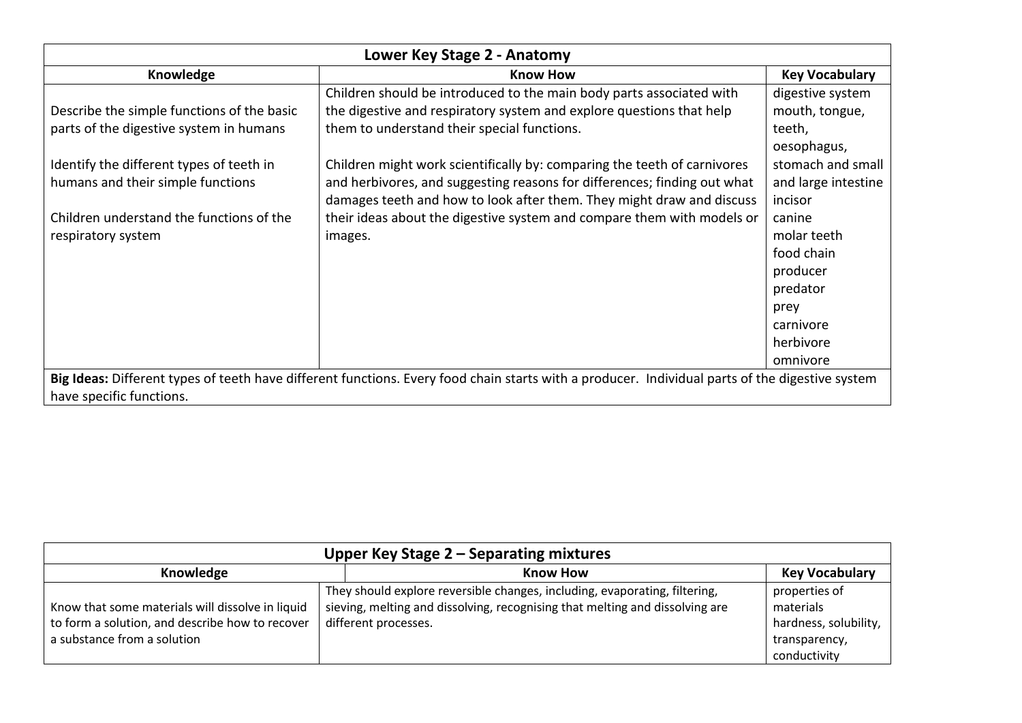| Lower Key Stage 2 - Anatomy                                                                                                                     |                                                                          |                       |
|-------------------------------------------------------------------------------------------------------------------------------------------------|--------------------------------------------------------------------------|-----------------------|
| Knowledge                                                                                                                                       | <b>Know How</b>                                                          | <b>Key Vocabulary</b> |
|                                                                                                                                                 | Children should be introduced to the main body parts associated with     | digestive system      |
| Describe the simple functions of the basic                                                                                                      | the digestive and respiratory system and explore questions that help     | mouth, tongue,        |
| parts of the digestive system in humans                                                                                                         | them to understand their special functions.                              | teeth,                |
|                                                                                                                                                 |                                                                          | oesophagus,           |
| Identify the different types of teeth in                                                                                                        | Children might work scientifically by: comparing the teeth of carnivores | stomach and small     |
| humans and their simple functions                                                                                                               | and herbivores, and suggesting reasons for differences; finding out what | and large intestine   |
|                                                                                                                                                 | damages teeth and how to look after them. They might draw and discuss    | incisor               |
| Children understand the functions of the                                                                                                        | their ideas about the digestive system and compare them with models or   | canine                |
| respiratory system                                                                                                                              | images.                                                                  | molar teeth           |
|                                                                                                                                                 |                                                                          | food chain            |
|                                                                                                                                                 |                                                                          | producer              |
|                                                                                                                                                 |                                                                          | predator              |
|                                                                                                                                                 |                                                                          | prey                  |
|                                                                                                                                                 |                                                                          | carnivore             |
|                                                                                                                                                 |                                                                          | herbivore             |
|                                                                                                                                                 |                                                                          | omnivore              |
| Big Ideas: Different types of teeth have different functions. Every food chain starts with a producer. Individual parts of the digestive system |                                                                          |                       |
| have specific functions.                                                                                                                        |                                                                          |                       |

| Upper Key Stage 2 – Separating mixtures                                                                                            |                                                                                                                                                                                    |                                                                                      |  |
|------------------------------------------------------------------------------------------------------------------------------------|------------------------------------------------------------------------------------------------------------------------------------------------------------------------------------|--------------------------------------------------------------------------------------|--|
| Knowledge                                                                                                                          | <b>Know How</b>                                                                                                                                                                    | <b>Key Vocabulary</b>                                                                |  |
| Know that some materials will dissolve in liquid<br>to form a solution, and describe how to recover<br>a substance from a solution | They should explore reversible changes, including, evaporating, filtering,<br>sieving, melting and dissolving, recognising that melting and dissolving are<br>different processes. | properties of<br>materials<br>hardness, solubility,<br>transparency,<br>conductivity |  |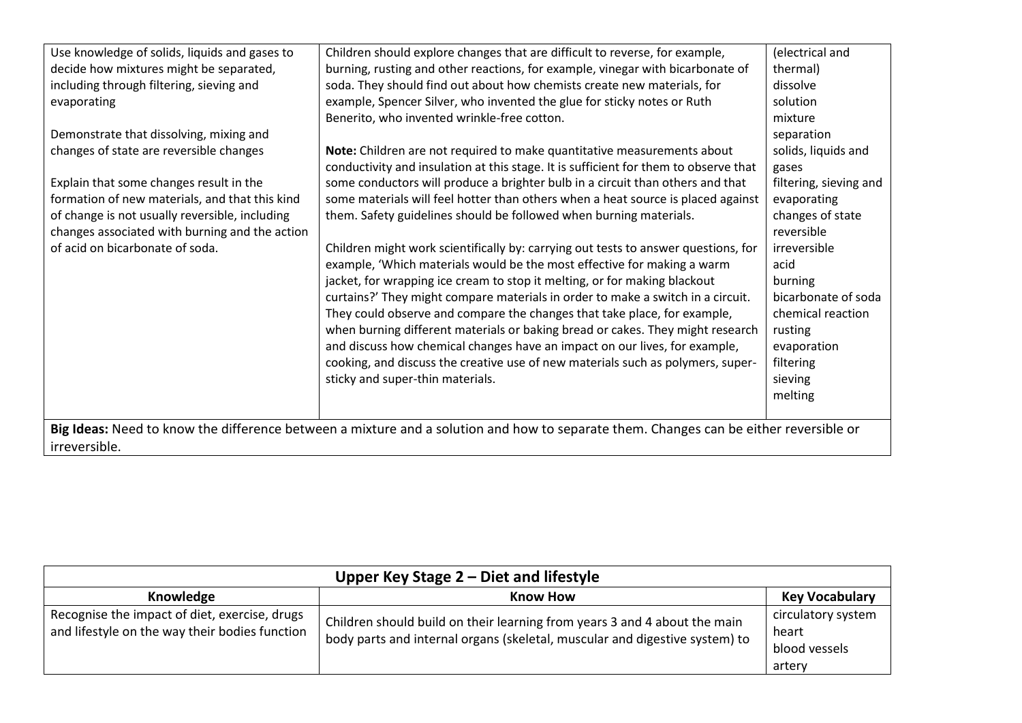| Use knowledge of solids, liquids and gases to  | Children should explore changes that are difficult to reverse, for example,                                                           | (electrical and        |
|------------------------------------------------|---------------------------------------------------------------------------------------------------------------------------------------|------------------------|
| decide how mixtures might be separated,        | burning, rusting and other reactions, for example, vinegar with bicarbonate of                                                        | thermal)               |
| including through filtering, sieving and       | soda. They should find out about how chemists create new materials, for                                                               | dissolve               |
| evaporating                                    | example, Spencer Silver, who invented the glue for sticky notes or Ruth                                                               | solution               |
|                                                | Benerito, who invented wrinkle-free cotton.                                                                                           | mixture                |
| Demonstrate that dissolving, mixing and        |                                                                                                                                       | separation             |
| changes of state are reversible changes        | Note: Children are not required to make quantitative measurements about                                                               | solids, liquids and    |
|                                                | conductivity and insulation at this stage. It is sufficient for them to observe that                                                  | gases                  |
| Explain that some changes result in the        | some conductors will produce a brighter bulb in a circuit than others and that                                                        | filtering, sieving and |
| formation of new materials, and that this kind | some materials will feel hotter than others when a heat source is placed against                                                      | evaporating            |
| of change is not usually reversible, including | them. Safety guidelines should be followed when burning materials.                                                                    | changes of state       |
| changes associated with burning and the action |                                                                                                                                       | reversible             |
| of acid on bicarbonate of soda.                | Children might work scientifically by: carrying out tests to answer questions, for                                                    | irreversible           |
|                                                | example, 'Which materials would be the most effective for making a warm                                                               | acid                   |
|                                                | jacket, for wrapping ice cream to stop it melting, or for making blackout                                                             | burning                |
|                                                | curtains?' They might compare materials in order to make a switch in a circuit.                                                       | bicarbonate of soda    |
|                                                | They could observe and compare the changes that take place, for example,                                                              | chemical reaction      |
|                                                | when burning different materials or baking bread or cakes. They might research                                                        | rusting                |
|                                                | and discuss how chemical changes have an impact on our lives, for example,                                                            | evaporation            |
|                                                | cooking, and discuss the creative use of new materials such as polymers, super-                                                       | filtering              |
|                                                | sticky and super-thin materials.                                                                                                      | sieving                |
|                                                |                                                                                                                                       | melting                |
|                                                |                                                                                                                                       |                        |
|                                                | Big Ideas: Need to know the difference between a mixture and a solution and how to separate them. Changes can be either reversible or |                        |
| irreversible.                                  |                                                                                                                                       |                        |

| Upper Key Stage $2$ – Diet and lifestyle                                                        |                                                                                                                                                          |                                                        |
|-------------------------------------------------------------------------------------------------|----------------------------------------------------------------------------------------------------------------------------------------------------------|--------------------------------------------------------|
| Knowledge                                                                                       | <b>Know How</b>                                                                                                                                          | <b>Key Vocabulary</b>                                  |
| Recognise the impact of diet, exercise, drugs<br>and lifestyle on the way their bodies function | Children should build on their learning from years 3 and 4 about the main<br>body parts and internal organs (skeletal, muscular and digestive system) to | circulatory system<br>heart<br>blood vessels<br>artery |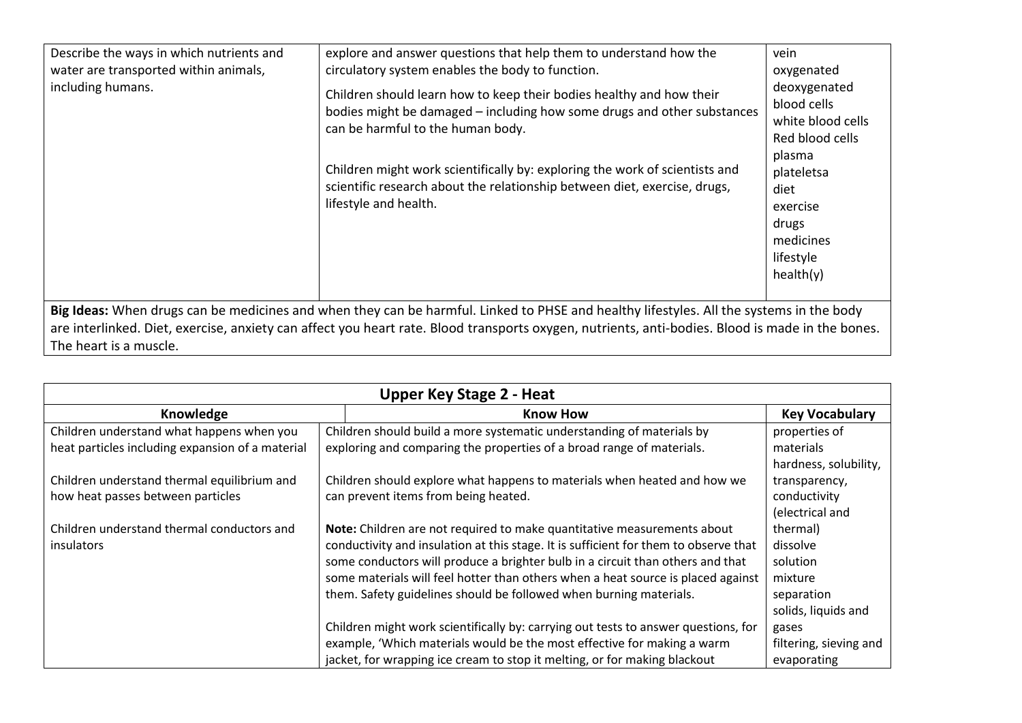| Describe the ways in which nutrients and<br>water are transported within animals,<br>including humans.                                                                                                                                                                                                                | explore and answer questions that help them to understand how the<br>circulatory system enables the body to function.<br>Children should learn how to keep their bodies healthy and how their<br>bodies might be damaged – including how some drugs and other substances<br>can be harmful to the human body.<br>Children might work scientifically by: exploring the work of scientists and<br>scientific research about the relationship between diet, exercise, drugs,<br>lifestyle and health. | vein<br>oxygenated<br>deoxygenated<br>blood cells<br>white blood cells<br>Red blood cells<br>plasma<br>plateletsa<br>diet<br>exercise<br>drugs<br>medicines<br>lifestyle<br>health(y) |
|-----------------------------------------------------------------------------------------------------------------------------------------------------------------------------------------------------------------------------------------------------------------------------------------------------------------------|----------------------------------------------------------------------------------------------------------------------------------------------------------------------------------------------------------------------------------------------------------------------------------------------------------------------------------------------------------------------------------------------------------------------------------------------------------------------------------------------------|---------------------------------------------------------------------------------------------------------------------------------------------------------------------------------------|
| Big Ideas: When drugs can be medicines and when they can be harmful. Linked to PHSE and healthy lifestyles. All the systems in the body<br>are interlinked. Diet, exercise, anxiety can affect you heart rate. Blood transports oxygen, nutrients, anti-bodies. Blood is made in the bones.<br>The heart is a muscle. |                                                                                                                                                                                                                                                                                                                                                                                                                                                                                                    |                                                                                                                                                                                       |

| <b>Upper Key Stage 2 - Heat</b>                  |                                                                                      |                        |
|--------------------------------------------------|--------------------------------------------------------------------------------------|------------------------|
| Knowledge                                        | <b>Know How</b>                                                                      | <b>Key Vocabulary</b>  |
| Children understand what happens when you        | Children should build a more systematic understanding of materials by                | properties of          |
| heat particles including expansion of a material | exploring and comparing the properties of a broad range of materials.                | materials              |
|                                                  |                                                                                      | hardness, solubility,  |
| Children understand thermal equilibrium and      | Children should explore what happens to materials when heated and how we             | transparency,          |
| how heat passes between particles                | can prevent items from being heated.                                                 | conductivity           |
|                                                  |                                                                                      | (electrical and        |
| Children understand thermal conductors and       | Note: Children are not required to make quantitative measurements about              | thermal)               |
| insulators                                       | conductivity and insulation at this stage. It is sufficient for them to observe that | dissolve               |
|                                                  | some conductors will produce a brighter bulb in a circuit than others and that       | solution               |
|                                                  | some materials will feel hotter than others when a heat source is placed against     | mixture                |
|                                                  | them. Safety guidelines should be followed when burning materials.                   | separation             |
|                                                  |                                                                                      | solids, liquids and    |
|                                                  | Children might work scientifically by: carrying out tests to answer questions, for   | gases                  |
|                                                  | example, 'Which materials would be the most effective for making a warm              | filtering, sieving and |
|                                                  | jacket, for wrapping ice cream to stop it melting, or for making blackout            | evaporating            |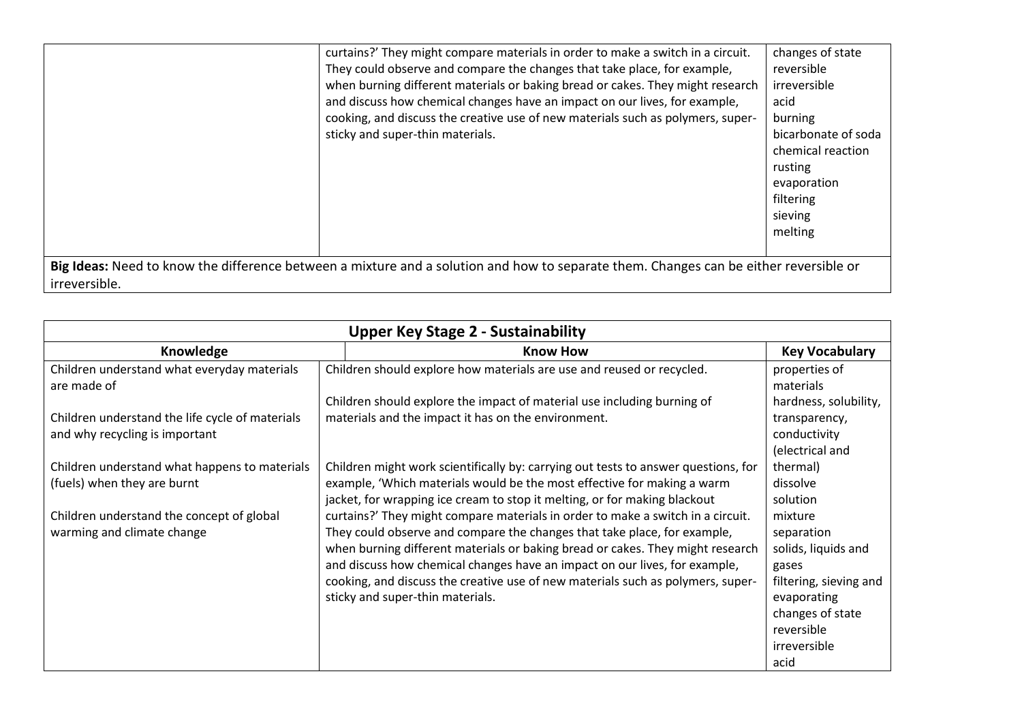|               | curtains?' They might compare materials in order to make a switch in a circuit.                                                       | changes of state    |
|---------------|---------------------------------------------------------------------------------------------------------------------------------------|---------------------|
|               | They could observe and compare the changes that take place, for example,                                                              | reversible          |
|               | when burning different materials or baking bread or cakes. They might research                                                        | irreversible        |
|               | and discuss how chemical changes have an impact on our lives, for example,                                                            | acid                |
|               | cooking, and discuss the creative use of new materials such as polymers, super-                                                       | burning             |
|               | sticky and super-thin materials.                                                                                                      | bicarbonate of soda |
|               |                                                                                                                                       | chemical reaction   |
|               |                                                                                                                                       | rusting             |
|               |                                                                                                                                       | evaporation         |
|               |                                                                                                                                       | filtering           |
|               |                                                                                                                                       | sieving             |
|               |                                                                                                                                       | melting             |
|               |                                                                                                                                       |                     |
|               | Big Ideas: Need to know the difference between a mixture and a solution and how to separate them. Changes can be either reversible or |                     |
| irreversible. |                                                                                                                                       |                     |

| <b>Upper Key Stage 2 - Sustainability</b>                                         |                                                                                    |                                                  |
|-----------------------------------------------------------------------------------|------------------------------------------------------------------------------------|--------------------------------------------------|
| Knowledge                                                                         | <b>Know How</b>                                                                    | <b>Key Vocabulary</b>                            |
| Children understand what everyday materials<br>are made of                        | Children should explore how materials are use and reused or recycled.              | properties of<br>materials                       |
|                                                                                   | Children should explore the impact of material use including burning of            | hardness, solubility,                            |
| Children understand the life cycle of materials<br>and why recycling is important | materials and the impact it has on the environment.                                | transparency,<br>conductivity<br>(electrical and |
| Children understand what happens to materials                                     | Children might work scientifically by: carrying out tests to answer questions, for | thermal)                                         |
| (fuels) when they are burnt                                                       | example, 'Which materials would be the most effective for making a warm            | dissolve                                         |
|                                                                                   | jacket, for wrapping ice cream to stop it melting, or for making blackout          | solution                                         |
| Children understand the concept of global                                         | curtains?' They might compare materials in order to make a switch in a circuit.    | mixture                                          |
| warming and climate change                                                        | They could observe and compare the changes that take place, for example,           | separation                                       |
|                                                                                   | when burning different materials or baking bread or cakes. They might research     | solids, liquids and                              |
|                                                                                   | and discuss how chemical changes have an impact on our lives, for example,         | gases                                            |
|                                                                                   | cooking, and discuss the creative use of new materials such as polymers, super-    | filtering, sieving and                           |
|                                                                                   | sticky and super-thin materials.                                                   | evaporating                                      |
|                                                                                   |                                                                                    | changes of state                                 |
|                                                                                   |                                                                                    | reversible                                       |
|                                                                                   |                                                                                    | irreversible                                     |
|                                                                                   |                                                                                    | acid                                             |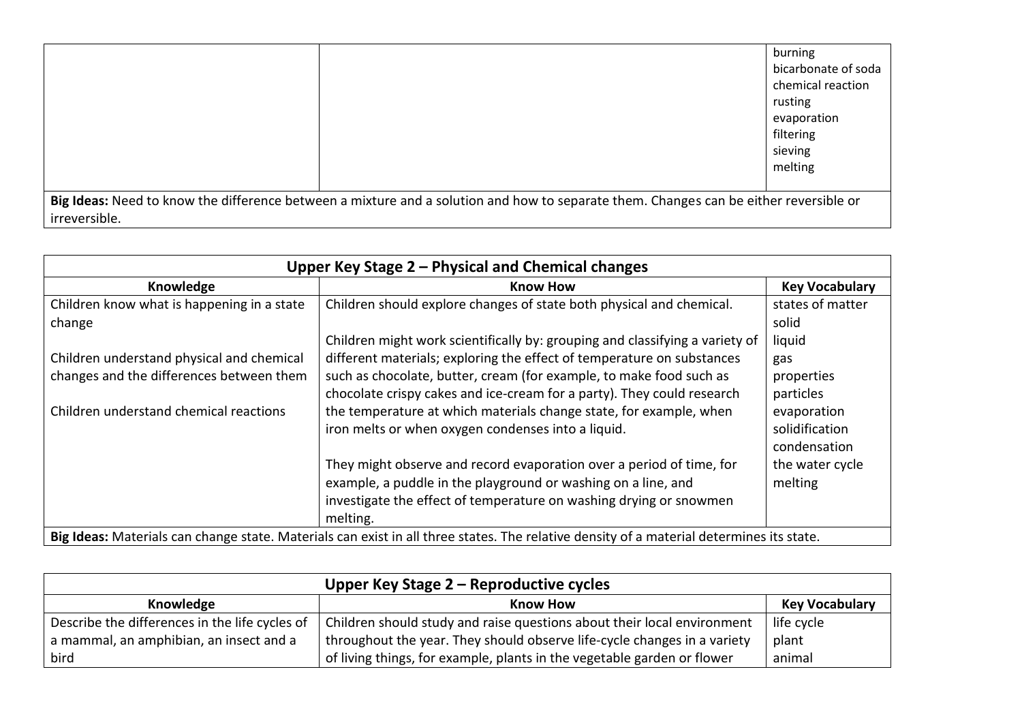|               |                                                                                                                                       | burning             |
|---------------|---------------------------------------------------------------------------------------------------------------------------------------|---------------------|
|               |                                                                                                                                       | bicarbonate of soda |
|               |                                                                                                                                       | chemical reaction   |
|               |                                                                                                                                       | rusting             |
|               |                                                                                                                                       | evaporation         |
|               |                                                                                                                                       | filtering           |
|               |                                                                                                                                       | sieving             |
|               |                                                                                                                                       | melting             |
|               |                                                                                                                                       |                     |
|               | Big Ideas: Need to know the difference between a mixture and a solution and how to separate them. Changes can be either reversible or |                     |
| irreversible. |                                                                                                                                       |                     |

| Upper Key Stage 2 – Physical and Chemical changes                                                                                        |                                                                                                                                                                                                                                                                                                                                                                               |                                                         |
|------------------------------------------------------------------------------------------------------------------------------------------|-------------------------------------------------------------------------------------------------------------------------------------------------------------------------------------------------------------------------------------------------------------------------------------------------------------------------------------------------------------------------------|---------------------------------------------------------|
| Knowledge                                                                                                                                | <b>Know How</b>                                                                                                                                                                                                                                                                                                                                                               | <b>Key Vocabulary</b>                                   |
| Children know what is happening in a state<br>change                                                                                     | Children should explore changes of state both physical and chemical.                                                                                                                                                                                                                                                                                                          | states of matter<br>solid                               |
| Children understand physical and chemical<br>changes and the differences between them<br>Children understand chemical reactions          | Children might work scientifically by: grouping and classifying a variety of<br>different materials; exploring the effect of temperature on substances<br>such as chocolate, butter, cream (for example, to make food such as<br>chocolate crispy cakes and ice-cream for a party). They could research<br>the temperature at which materials change state, for example, when | liquid<br>gas<br>properties<br>particles<br>evaporation |
|                                                                                                                                          | iron melts or when oxygen condenses into a liquid.                                                                                                                                                                                                                                                                                                                            | solidification<br>condensation                          |
|                                                                                                                                          | They might observe and record evaporation over a period of time, for<br>example, a puddle in the playground or washing on a line, and<br>investigate the effect of temperature on washing drying or snowmen<br>melting.                                                                                                                                                       | the water cycle<br>melting                              |
| Big Ideas: Materials can change state. Materials can exist in all three states. The relative density of a material determines its state. |                                                                                                                                                                                                                                                                                                                                                                               |                                                         |

| Upper Key Stage 2 - Reproductive cycles        |                                                                          |                       |
|------------------------------------------------|--------------------------------------------------------------------------|-----------------------|
| Knowledge                                      | <b>Know How</b>                                                          | <b>Key Vocabulary</b> |
| Describe the differences in the life cycles of | Children should study and raise questions about their local environment  | life cycle            |
| a mammal, an amphibian, an insect and a        | throughout the year. They should observe life-cycle changes in a variety | plant                 |
| bird                                           | of living things, for example, plants in the vegetable garden or flower  | animal                |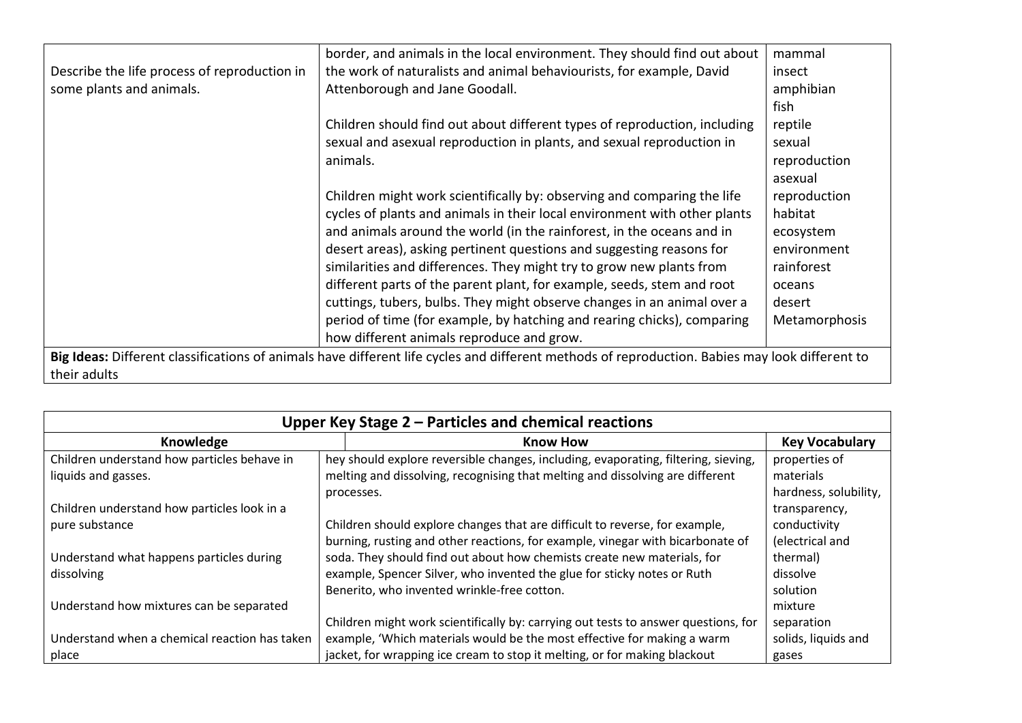|                                              | border, and animals in the local environment. They should find out about                                                                       | mammal        |
|----------------------------------------------|------------------------------------------------------------------------------------------------------------------------------------------------|---------------|
| Describe the life process of reproduction in | the work of naturalists and animal behaviourists, for example, David                                                                           | insect        |
| some plants and animals.                     | Attenborough and Jane Goodall.                                                                                                                 | amphibian     |
|                                              |                                                                                                                                                | fish          |
|                                              | Children should find out about different types of reproduction, including                                                                      | reptile       |
|                                              | sexual and asexual reproduction in plants, and sexual reproduction in                                                                          | sexual        |
|                                              | animals.                                                                                                                                       | reproduction  |
|                                              |                                                                                                                                                | asexual       |
|                                              | Children might work scientifically by: observing and comparing the life                                                                        | reproduction  |
|                                              | cycles of plants and animals in their local environment with other plants                                                                      | habitat       |
|                                              | and animals around the world (in the rainforest, in the oceans and in                                                                          | ecosystem     |
|                                              | desert areas), asking pertinent questions and suggesting reasons for                                                                           | environment   |
|                                              | similarities and differences. They might try to grow new plants from                                                                           | rainforest    |
|                                              | different parts of the parent plant, for example, seeds, stem and root                                                                         | oceans        |
|                                              | cuttings, tubers, bulbs. They might observe changes in an animal over a                                                                        | desert        |
|                                              | period of time (for example, by hatching and rearing chicks), comparing                                                                        | Metamorphosis |
|                                              | how different animals reproduce and grow.                                                                                                      |               |
|                                              | Big Ideas: Different classifications of animals have different life cycles and different methods of reproduction. Babies may look different to |               |
| their adults                                 |                                                                                                                                                |               |

| Upper Key Stage $2$ – Particles and chemical reactions |                                                                                    |                       |
|--------------------------------------------------------|------------------------------------------------------------------------------------|-----------------------|
| Knowledge                                              | <b>Know How</b>                                                                    | <b>Key Vocabulary</b> |
| Children understand how particles behave in            | hey should explore reversible changes, including, evaporating, filtering, sieving, | properties of         |
| liquids and gasses.                                    | melting and dissolving, recognising that melting and dissolving are different      | materials             |
|                                                        | processes.                                                                         | hardness, solubility, |
| Children understand how particles look in a            |                                                                                    | transparency,         |
| pure substance                                         | Children should explore changes that are difficult to reverse, for example,        | conductivity          |
|                                                        | burning, rusting and other reactions, for example, vinegar with bicarbonate of     | (electrical and       |
| Understand what happens particles during               | soda. They should find out about how chemists create new materials, for            | thermal)              |
| dissolving                                             | example, Spencer Silver, who invented the glue for sticky notes or Ruth            | dissolve              |
|                                                        | Benerito, who invented wrinkle-free cotton.                                        | solution              |
| Understand how mixtures can be separated               |                                                                                    | mixture               |
|                                                        | Children might work scientifically by: carrying out tests to answer questions, for | separation            |
| Understand when a chemical reaction has taken          | example, 'Which materials would be the most effective for making a warm            | solids, liquids and   |
| place                                                  | jacket, for wrapping ice cream to stop it melting, or for making blackout          | gases                 |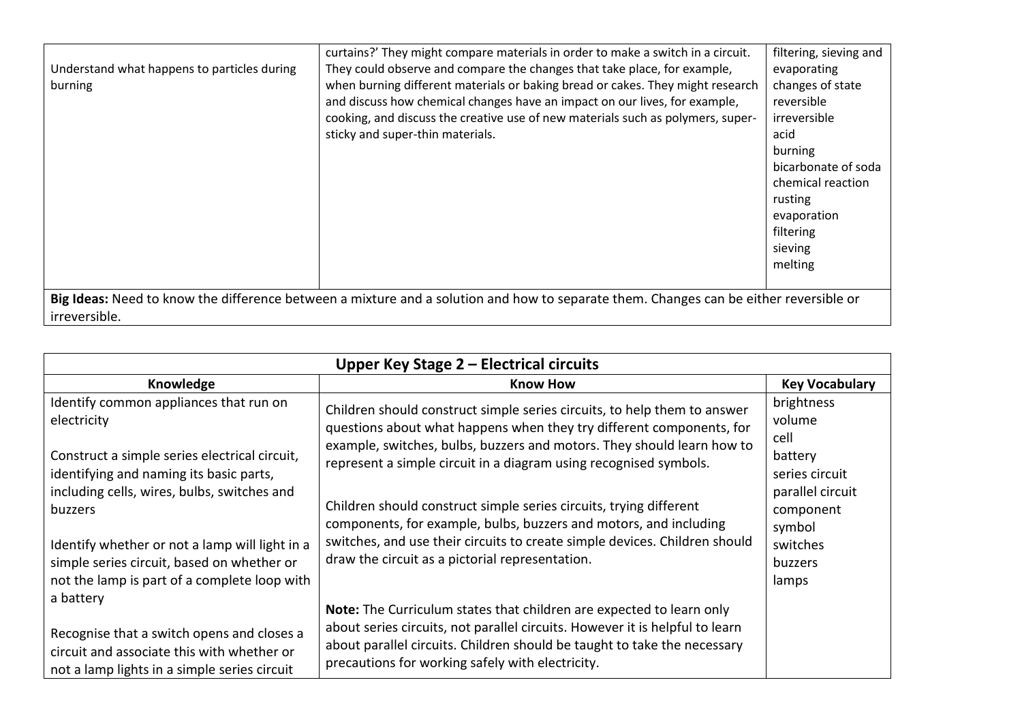|                                             | curtains?' They might compare materials in order to make a switch in a circuit.                                                       | filtering, sieving and |
|---------------------------------------------|---------------------------------------------------------------------------------------------------------------------------------------|------------------------|
| Understand what happens to particles during | They could observe and compare the changes that take place, for example,                                                              | evaporating            |
| burning                                     | when burning different materials or baking bread or cakes. They might research                                                        | changes of state       |
|                                             | and discuss how chemical changes have an impact on our lives, for example,                                                            | reversible             |
|                                             | cooking, and discuss the creative use of new materials such as polymers, super-                                                       | irreversible           |
|                                             | sticky and super-thin materials.                                                                                                      | acid                   |
|                                             |                                                                                                                                       | burning                |
|                                             |                                                                                                                                       | bicarbonate of soda    |
|                                             |                                                                                                                                       | chemical reaction      |
|                                             |                                                                                                                                       | rusting                |
|                                             |                                                                                                                                       | evaporation            |
|                                             |                                                                                                                                       | filtering              |
|                                             |                                                                                                                                       | sieving                |
|                                             |                                                                                                                                       | melting                |
|                                             |                                                                                                                                       |                        |
|                                             | Big Ideas: Need to know the difference between a mixture and a solution and how to separate them. Changes can be either reversible or |                        |
| irreversible.                               |                                                                                                                                       |                        |

| Upper Key Stage $2$ – Electrical circuits                                                                                                                                                                                                                                                                                                                   |                                                                                                                                                                                                                                                                                                                                                                                                                                                                                                                                                                             |                                                                                                                                      |
|-------------------------------------------------------------------------------------------------------------------------------------------------------------------------------------------------------------------------------------------------------------------------------------------------------------------------------------------------------------|-----------------------------------------------------------------------------------------------------------------------------------------------------------------------------------------------------------------------------------------------------------------------------------------------------------------------------------------------------------------------------------------------------------------------------------------------------------------------------------------------------------------------------------------------------------------------------|--------------------------------------------------------------------------------------------------------------------------------------|
| Knowledge                                                                                                                                                                                                                                                                                                                                                   | <b>Know How</b>                                                                                                                                                                                                                                                                                                                                                                                                                                                                                                                                                             | <b>Key Vocabulary</b>                                                                                                                |
| Identify common appliances that run on<br>electricity<br>Construct a simple series electrical circuit,<br>identifying and naming its basic parts,<br>including cells, wires, bulbs, switches and<br>buzzers<br>Identify whether or not a lamp will light in a<br>simple series circuit, based on whether or<br>not the lamp is part of a complete loop with | Children should construct simple series circuits, to help them to answer<br>questions about what happens when they try different components, for<br>example, switches, bulbs, buzzers and motors. They should learn how to<br>represent a simple circuit in a diagram using recognised symbols.<br>Children should construct simple series circuits, trying different<br>components, for example, bulbs, buzzers and motors, and including<br>switches, and use their circuits to create simple devices. Children should<br>draw the circuit as a pictorial representation. | brightness<br>volume<br>cell<br>battery<br>series circuit<br>parallel circuit<br>component<br>symbol<br>switches<br>buzzers<br>lamps |
| a battery<br>Recognise that a switch opens and closes a<br>circuit and associate this with whether or<br>not a lamp lights in a simple series circuit                                                                                                                                                                                                       | Note: The Curriculum states that children are expected to learn only<br>about series circuits, not parallel circuits. However it is helpful to learn<br>about parallel circuits. Children should be taught to take the necessary<br>precautions for working safely with electricity.                                                                                                                                                                                                                                                                                        |                                                                                                                                      |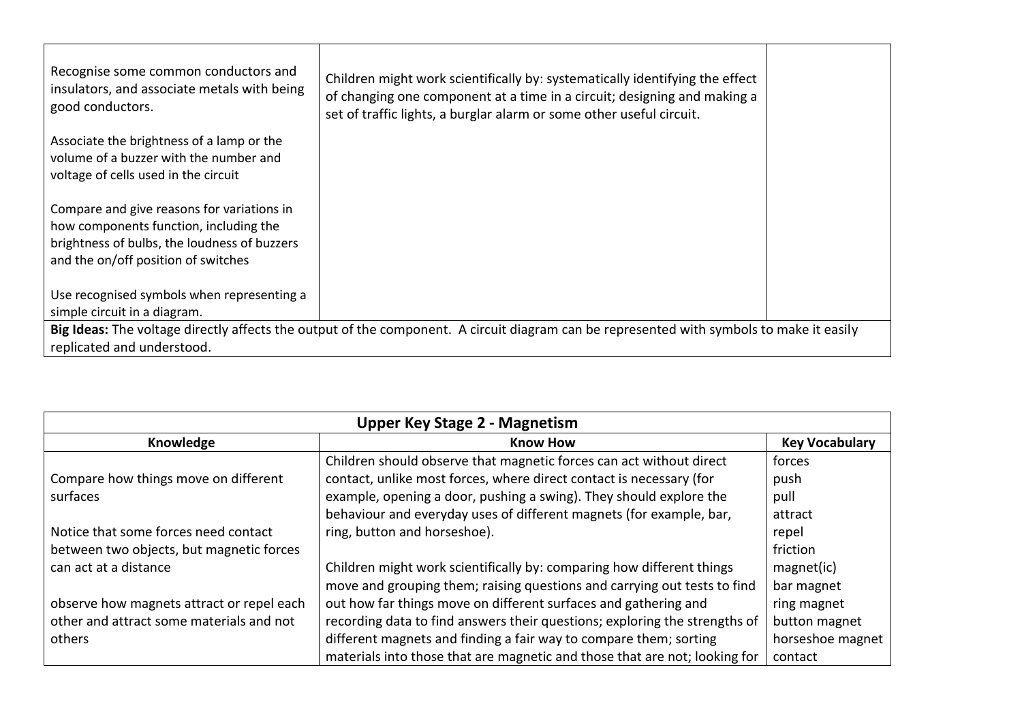| Recognise some common conductors and<br>insulators, and associate metals with being<br>good conductors.                                  | Children might work scientifically by: systematically identifying the effect<br>of changing one component at a time in a circuit; designing and making a<br>set of traffic lights, a burglar alarm or some other useful circuit. |  |
|------------------------------------------------------------------------------------------------------------------------------------------|----------------------------------------------------------------------------------------------------------------------------------------------------------------------------------------------------------------------------------|--|
| Associate the brightness of a lamp or the<br>volume of a buzzer with the number and                                                      |                                                                                                                                                                                                                                  |  |
| voltage of cells used in the circuit                                                                                                     |                                                                                                                                                                                                                                  |  |
| Compare and give reasons for variations in                                                                                               |                                                                                                                                                                                                                                  |  |
| how components function, including the                                                                                                   |                                                                                                                                                                                                                                  |  |
| brightness of bulbs, the loudness of buzzers                                                                                             |                                                                                                                                                                                                                                  |  |
| and the on/off position of switches                                                                                                      |                                                                                                                                                                                                                                  |  |
| Use recognised symbols when representing a                                                                                               |                                                                                                                                                                                                                                  |  |
| simple circuit in a diagram.                                                                                                             |                                                                                                                                                                                                                                  |  |
| Big Ideas: The voltage directly affects the output of the component. A circuit diagram can be represented with symbols to make it easily |                                                                                                                                                                                                                                  |  |
| replicated and understood.                                                                                                               |                                                                                                                                                                                                                                  |  |

| <b>Upper Key Stage 2 - Magnetism</b>      |                                                                            |                       |
|-------------------------------------------|----------------------------------------------------------------------------|-----------------------|
| Knowledge                                 | <b>Know How</b>                                                            | <b>Key Vocabulary</b> |
|                                           | Children should observe that magnetic forces can act without direct        | forces                |
| Compare how things move on different      | contact, unlike most forces, where direct contact is necessary (for        | push                  |
| surfaces                                  | example, opening a door, pushing a swing). They should explore the         | pull                  |
|                                           | behaviour and everyday uses of different magnets (for example, bar,        | attract               |
| Notice that some forces need contact      | ring, button and horseshoe).                                               | repel                 |
| between two objects, but magnetic forces  |                                                                            | friction              |
| can act at a distance                     | Children might work scientifically by: comparing how different things      | magnet(ic)            |
|                                           | move and grouping them; raising questions and carrying out tests to find   | bar magnet            |
| observe how magnets attract or repel each | out how far things move on different surfaces and gathering and            | ring magnet           |
| other and attract some materials and not  | recording data to find answers their questions; exploring the strengths of | button magnet         |
| others                                    | different magnets and finding a fair way to compare them; sorting          | horseshoe magnet      |
|                                           | materials into those that are magnetic and those that are not; looking for | contact               |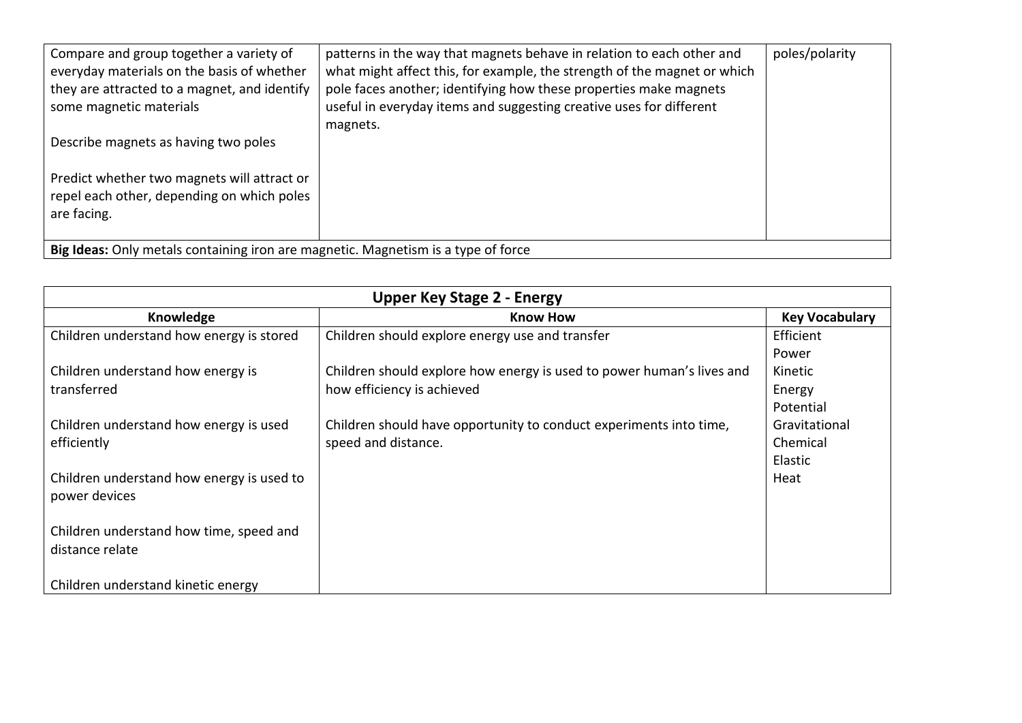| Compare and group together a variety of<br>everyday materials on the basis of whether<br>they are attracted to a magnet, and identify<br>some magnetic materials<br>Describe magnets as having two poles<br>Predict whether two magnets will attract or<br>repel each other, depending on which poles<br>are facing. | patterns in the way that magnets behave in relation to each other and<br>what might affect this, for example, the strength of the magnet or which<br>pole faces another; identifying how these properties make magnets<br>useful in everyday items and suggesting creative uses for different<br>magnets. | poles/polarity |
|----------------------------------------------------------------------------------------------------------------------------------------------------------------------------------------------------------------------------------------------------------------------------------------------------------------------|-----------------------------------------------------------------------------------------------------------------------------------------------------------------------------------------------------------------------------------------------------------------------------------------------------------|----------------|
| Big Ideas: Only metals containing iron are magnetic. Magnetism is a type of force                                                                                                                                                                                                                                    |                                                                                                                                                                                                                                                                                                           |                |

| <b>Upper Key Stage 2 - Energy</b>         |                                                                       |                       |  |
|-------------------------------------------|-----------------------------------------------------------------------|-----------------------|--|
| Knowledge                                 | <b>Know How</b>                                                       | <b>Key Vocabulary</b> |  |
| Children understand how energy is stored  | Children should explore energy use and transfer                       | Efficient             |  |
|                                           |                                                                       | Power                 |  |
| Children understand how energy is         | Children should explore how energy is used to power human's lives and | Kinetic               |  |
| transferred                               | how efficiency is achieved                                            | Energy                |  |
|                                           |                                                                       | Potential             |  |
| Children understand how energy is used    | Children should have opportunity to conduct experiments into time,    | Gravitational         |  |
| efficiently                               | speed and distance.                                                   | Chemical              |  |
|                                           |                                                                       | Elastic               |  |
| Children understand how energy is used to |                                                                       | Heat                  |  |
| power devices                             |                                                                       |                       |  |
|                                           |                                                                       |                       |  |
| Children understand how time, speed and   |                                                                       |                       |  |
| distance relate                           |                                                                       |                       |  |
|                                           |                                                                       |                       |  |
| Children understand kinetic energy        |                                                                       |                       |  |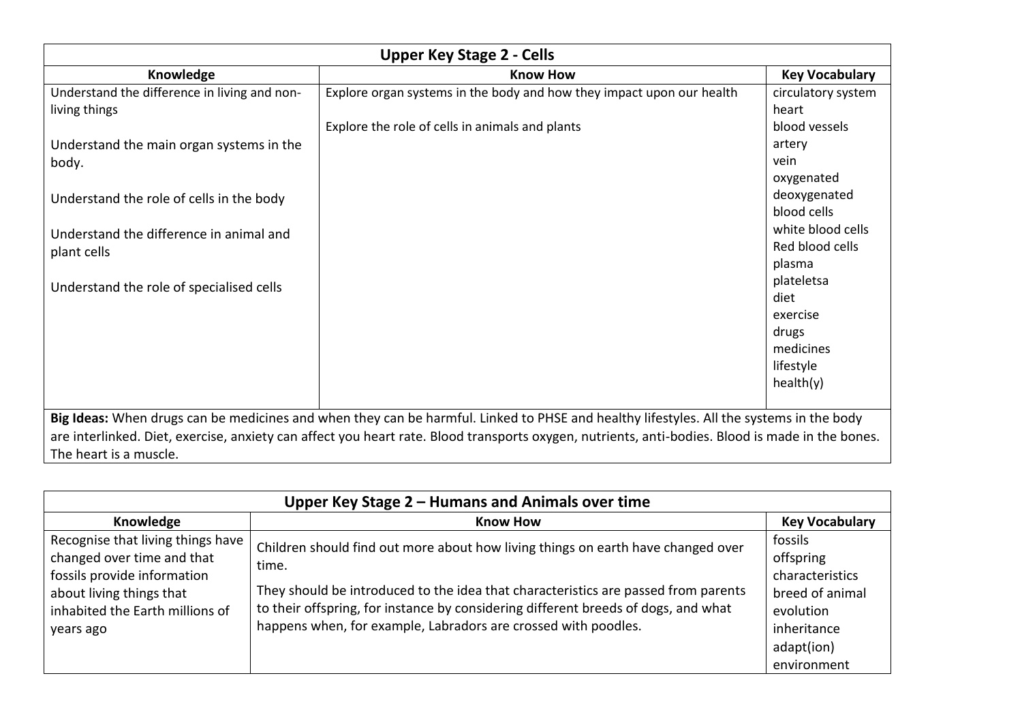| <b>Upper Key Stage 2 - Cells</b>                                                                                                        |                                                                                                                                                  |                             |  |
|-----------------------------------------------------------------------------------------------------------------------------------------|--------------------------------------------------------------------------------------------------------------------------------------------------|-----------------------------|--|
| Knowledge                                                                                                                               | <b>Know How</b>                                                                                                                                  | <b>Key Vocabulary</b>       |  |
| Understand the difference in living and non-<br>living things                                                                           | Explore organ systems in the body and how they impact upon our health                                                                            | circulatory system<br>heart |  |
|                                                                                                                                         | Explore the role of cells in animals and plants                                                                                                  | blood vessels               |  |
| Understand the main organ systems in the                                                                                                |                                                                                                                                                  | artery                      |  |
| body.                                                                                                                                   |                                                                                                                                                  | vein                        |  |
|                                                                                                                                         |                                                                                                                                                  | oxygenated                  |  |
| Understand the role of cells in the body                                                                                                |                                                                                                                                                  | deoxygenated                |  |
|                                                                                                                                         |                                                                                                                                                  | blood cells                 |  |
| Understand the difference in animal and                                                                                                 |                                                                                                                                                  | white blood cells           |  |
| plant cells                                                                                                                             |                                                                                                                                                  | Red blood cells             |  |
|                                                                                                                                         |                                                                                                                                                  | plasma                      |  |
| Understand the role of specialised cells                                                                                                |                                                                                                                                                  | plateletsa                  |  |
|                                                                                                                                         |                                                                                                                                                  | diet                        |  |
|                                                                                                                                         |                                                                                                                                                  | exercise                    |  |
|                                                                                                                                         |                                                                                                                                                  | drugs                       |  |
|                                                                                                                                         |                                                                                                                                                  | medicines                   |  |
|                                                                                                                                         |                                                                                                                                                  | lifestyle                   |  |
|                                                                                                                                         |                                                                                                                                                  | health(y)                   |  |
|                                                                                                                                         |                                                                                                                                                  |                             |  |
| Big Ideas: When drugs can be medicines and when they can be harmful. Linked to PHSE and healthy lifestyles. All the systems in the body |                                                                                                                                                  |                             |  |
|                                                                                                                                         | are interlinked. Diet, exercise, anxiety can affect you heart rate. Blood transports oxygen, nutrients, anti-bodies. Blood is made in the bones. |                             |  |
| The heart is a muscle.                                                                                                                  |                                                                                                                                                  |                             |  |

| Upper Key Stage 2 - Humans and Animals over time                                                                                                                           |                                                                                                                                                                                                                                                                                                                                         |                              |  |
|----------------------------------------------------------------------------------------------------------------------------------------------------------------------------|-----------------------------------------------------------------------------------------------------------------------------------------------------------------------------------------------------------------------------------------------------------------------------------------------------------------------------------------|------------------------------|--|
| Knowledge                                                                                                                                                                  | <b>Know How</b>                                                                                                                                                                                                                                                                                                                         | <b>Key Vocabulary</b>        |  |
| Recognise that living things have<br>changed over time and that<br>fossils provide information<br>about living things that<br>inhabited the Earth millions of<br>years ago | Children should find out more about how living things on earth have changed over<br>time.<br>They should be introduced to the idea that characteristics are passed from parents<br>to their offspring, for instance by considering different breeds of dogs, and what<br>happens when, for example, Labradors are crossed with poodles. | fossils                      |  |
|                                                                                                                                                                            |                                                                                                                                                                                                                                                                                                                                         | offspring<br>characteristics |  |
|                                                                                                                                                                            |                                                                                                                                                                                                                                                                                                                                         | breed of animal              |  |
|                                                                                                                                                                            |                                                                                                                                                                                                                                                                                                                                         | evolution<br>inheritance     |  |
|                                                                                                                                                                            |                                                                                                                                                                                                                                                                                                                                         | adapt(ion)                   |  |
|                                                                                                                                                                            |                                                                                                                                                                                                                                                                                                                                         | environment                  |  |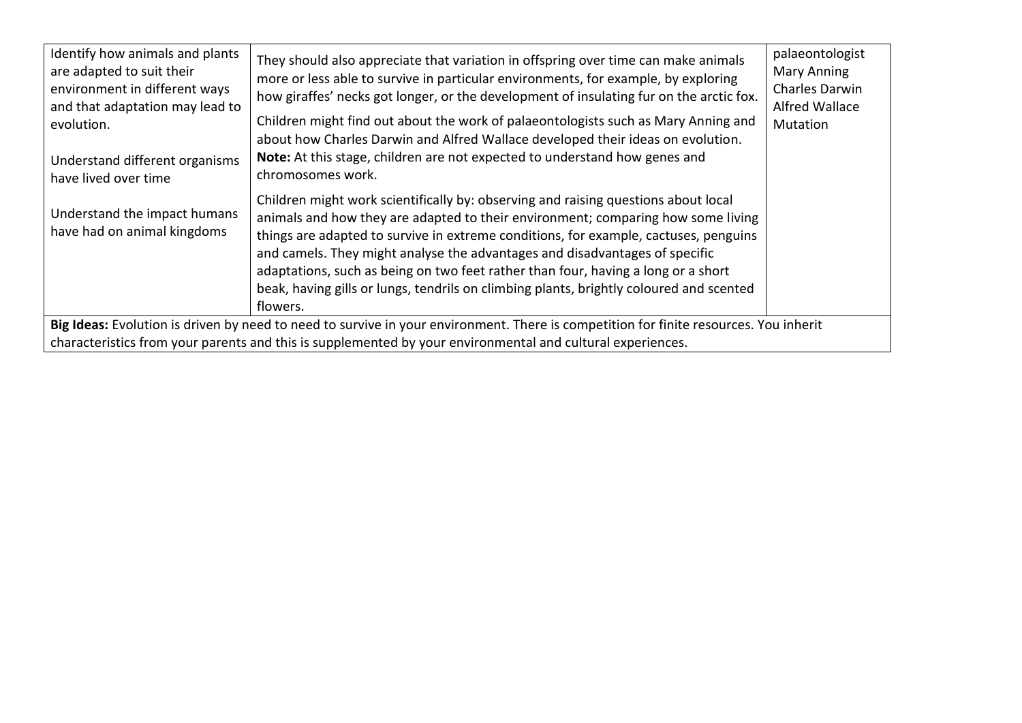| Identify how animals and plants<br>are adapted to suit their<br>environment in different ways<br>and that adaptation may lead to<br>evolution.<br>Understand different organisms<br>have lived over time | They should also appreciate that variation in offspring over time can make animals<br>more or less able to survive in particular environments, for example, by exploring<br>how giraffes' necks got longer, or the development of insulating fur on the arctic fox.<br>Children might find out about the work of palaeontologists such as Mary Anning and<br>about how Charles Darwin and Alfred Wallace developed their ideas on evolution.<br>Note: At this stage, children are not expected to understand how genes and<br>chromosomes work. | palaeontologist<br><b>Mary Anning</b><br>Charles Darwin<br><b>Alfred Wallace</b><br>Mutation |  |  |
|----------------------------------------------------------------------------------------------------------------------------------------------------------------------------------------------------------|-------------------------------------------------------------------------------------------------------------------------------------------------------------------------------------------------------------------------------------------------------------------------------------------------------------------------------------------------------------------------------------------------------------------------------------------------------------------------------------------------------------------------------------------------|----------------------------------------------------------------------------------------------|--|--|
| Understand the impact humans<br>have had on animal kingdoms                                                                                                                                              | Children might work scientifically by: observing and raising questions about local<br>animals and how they are adapted to their environment; comparing how some living<br>things are adapted to survive in extreme conditions, for example, cactuses, penguins<br>and camels. They might analyse the advantages and disadvantages of specific<br>adaptations, such as being on two feet rather than four, having a long or a short<br>beak, having gills or lungs, tendrils on climbing plants, brightly coloured and scented<br>flowers.       |                                                                                              |  |  |
| Big Ideas: Evolution is driven by need to need to survive in your environment. There is competition for finite resources. You inherit                                                                    |                                                                                                                                                                                                                                                                                                                                                                                                                                                                                                                                                 |                                                                                              |  |  |
| characteristics from your parents and this is supplemented by your environmental and cultural experiences.                                                                                               |                                                                                                                                                                                                                                                                                                                                                                                                                                                                                                                                                 |                                                                                              |  |  |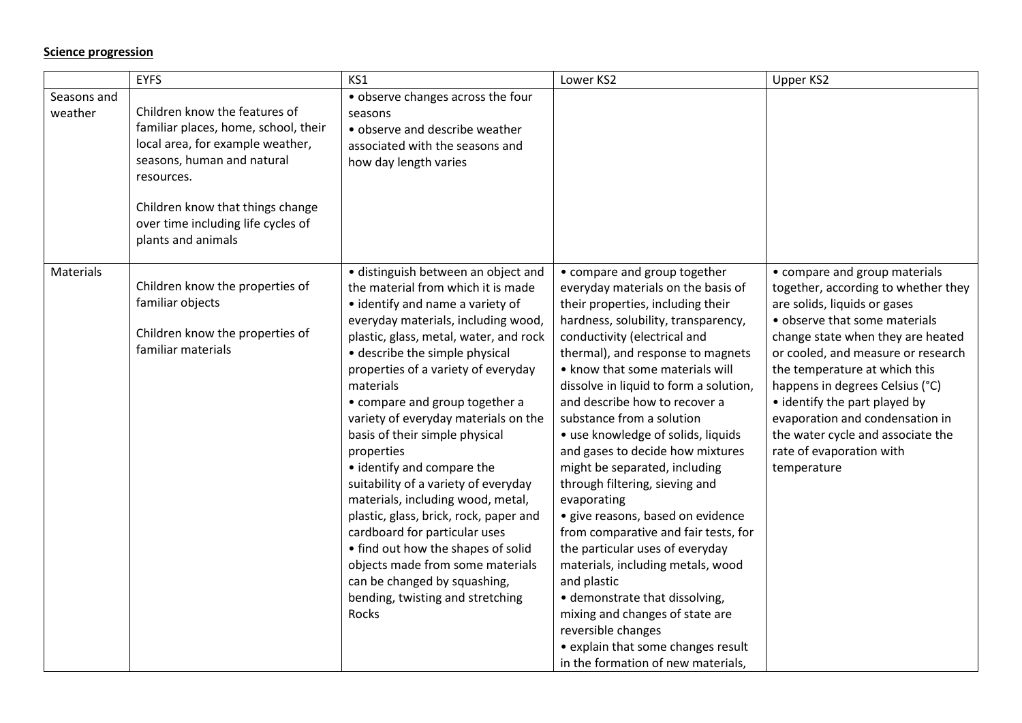## **Science progression**

|                        | <b>EYFS</b>                                                                                                                                                                                                                                           | KS1                                                                                                                                                                                                                                                                                                                                                                                                                                                                                                                                                                                                                                                                                                                                                         | Lower KS2                                                                                                                                                                                                                                                                                                                                                                                                                                                                                                                                                                                                                                                                                                                                                                                                                                                             | Upper KS2                                                                                                                                                                                                                                                                                                                                                                                                                                |
|------------------------|-------------------------------------------------------------------------------------------------------------------------------------------------------------------------------------------------------------------------------------------------------|-------------------------------------------------------------------------------------------------------------------------------------------------------------------------------------------------------------------------------------------------------------------------------------------------------------------------------------------------------------------------------------------------------------------------------------------------------------------------------------------------------------------------------------------------------------------------------------------------------------------------------------------------------------------------------------------------------------------------------------------------------------|-----------------------------------------------------------------------------------------------------------------------------------------------------------------------------------------------------------------------------------------------------------------------------------------------------------------------------------------------------------------------------------------------------------------------------------------------------------------------------------------------------------------------------------------------------------------------------------------------------------------------------------------------------------------------------------------------------------------------------------------------------------------------------------------------------------------------------------------------------------------------|------------------------------------------------------------------------------------------------------------------------------------------------------------------------------------------------------------------------------------------------------------------------------------------------------------------------------------------------------------------------------------------------------------------------------------------|
| Seasons and<br>weather | Children know the features of<br>familiar places, home, school, their<br>local area, for example weather,<br>seasons, human and natural<br>resources.<br>Children know that things change<br>over time including life cycles of<br>plants and animals | • observe changes across the four<br>seasons<br>• observe and describe weather<br>associated with the seasons and<br>how day length varies                                                                                                                                                                                                                                                                                                                                                                                                                                                                                                                                                                                                                  |                                                                                                                                                                                                                                                                                                                                                                                                                                                                                                                                                                                                                                                                                                                                                                                                                                                                       |                                                                                                                                                                                                                                                                                                                                                                                                                                          |
| <b>Materials</b>       | Children know the properties of<br>familiar objects<br>Children know the properties of<br>familiar materials                                                                                                                                          | · distinguish between an object and<br>the material from which it is made<br>• identify and name a variety of<br>everyday materials, including wood,<br>plastic, glass, metal, water, and rock<br>• describe the simple physical<br>properties of a variety of everyday<br>materials<br>• compare and group together a<br>variety of everyday materials on the<br>basis of their simple physical<br>properties<br>• identify and compare the<br>suitability of a variety of everyday<br>materials, including wood, metal,<br>plastic, glass, brick, rock, paper and<br>cardboard for particular uses<br>• find out how the shapes of solid<br>objects made from some materials<br>can be changed by squashing,<br>bending, twisting and stretching<br>Rocks | • compare and group together<br>everyday materials on the basis of<br>their properties, including their<br>hardness, solubility, transparency,<br>conductivity (electrical and<br>thermal), and response to magnets<br>• know that some materials will<br>dissolve in liquid to form a solution,<br>and describe how to recover a<br>substance from a solution<br>• use knowledge of solids, liquids<br>and gases to decide how mixtures<br>might be separated, including<br>through filtering, sieving and<br>evaporating<br>· give reasons, based on evidence<br>from comparative and fair tests, for<br>the particular uses of everyday<br>materials, including metals, wood<br>and plastic<br>• demonstrate that dissolving,<br>mixing and changes of state are<br>reversible changes<br>• explain that some changes result<br>in the formation of new materials, | • compare and group materials<br>together, according to whether they<br>are solids, liquids or gases<br>• observe that some materials<br>change state when they are heated<br>or cooled, and measure or research<br>the temperature at which this<br>happens in degrees Celsius (°C)<br>• identify the part played by<br>evaporation and condensation in<br>the water cycle and associate the<br>rate of evaporation with<br>temperature |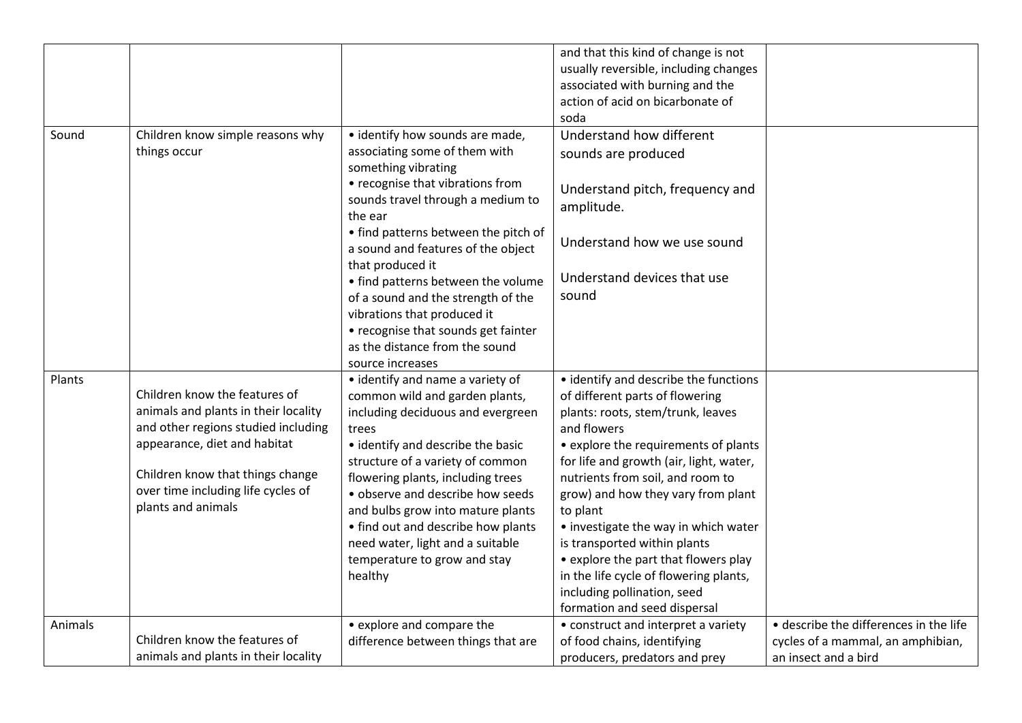|         |                                                                                                                                                                                                                                              |                                                                                                                                                                                                                                                                                                                                                                                                                              | and that this kind of change is not<br>usually reversible, including changes<br>associated with burning and the                                                                                                                                                                                                                                                                                                                                                                                                                |                                                                                                     |
|---------|----------------------------------------------------------------------------------------------------------------------------------------------------------------------------------------------------------------------------------------------|------------------------------------------------------------------------------------------------------------------------------------------------------------------------------------------------------------------------------------------------------------------------------------------------------------------------------------------------------------------------------------------------------------------------------|--------------------------------------------------------------------------------------------------------------------------------------------------------------------------------------------------------------------------------------------------------------------------------------------------------------------------------------------------------------------------------------------------------------------------------------------------------------------------------------------------------------------------------|-----------------------------------------------------------------------------------------------------|
|         |                                                                                                                                                                                                                                              |                                                                                                                                                                                                                                                                                                                                                                                                                              | action of acid on bicarbonate of<br>soda                                                                                                                                                                                                                                                                                                                                                                                                                                                                                       |                                                                                                     |
| Sound   | Children know simple reasons why<br>things occur                                                                                                                                                                                             | • identify how sounds are made,<br>associating some of them with<br>something vibrating<br>• recognise that vibrations from<br>sounds travel through a medium to<br>the ear<br>• find patterns between the pitch of<br>a sound and features of the object<br>that produced it                                                                                                                                                | Understand how different<br>sounds are produced<br>Understand pitch, frequency and<br>amplitude.<br>Understand how we use sound                                                                                                                                                                                                                                                                                                                                                                                                |                                                                                                     |
|         |                                                                                                                                                                                                                                              | • find patterns between the volume<br>of a sound and the strength of the<br>vibrations that produced it<br>• recognise that sounds get fainter<br>as the distance from the sound<br>source increases                                                                                                                                                                                                                         | Understand devices that use<br>sound                                                                                                                                                                                                                                                                                                                                                                                                                                                                                           |                                                                                                     |
| Plants  | Children know the features of<br>animals and plants in their locality<br>and other regions studied including<br>appearance, diet and habitat<br>Children know that things change<br>over time including life cycles of<br>plants and animals | • identify and name a variety of<br>common wild and garden plants,<br>including deciduous and evergreen<br>trees<br>• identify and describe the basic<br>structure of a variety of common<br>flowering plants, including trees<br>• observe and describe how seeds<br>and bulbs grow into mature plants<br>• find out and describe how plants<br>need water, light and a suitable<br>temperature to grow and stay<br>healthy | • identify and describe the functions<br>of different parts of flowering<br>plants: roots, stem/trunk, leaves<br>and flowers<br>• explore the requirements of plants<br>for life and growth (air, light, water,<br>nutrients from soil, and room to<br>grow) and how they vary from plant<br>to plant<br>• investigate the way in which water<br>is transported within plants<br>• explore the part that flowers play<br>in the life cycle of flowering plants,<br>including pollination, seed<br>formation and seed dispersal |                                                                                                     |
| Animals | Children know the features of<br>animals and plants in their locality                                                                                                                                                                        | • explore and compare the<br>difference between things that are                                                                                                                                                                                                                                                                                                                                                              | • construct and interpret a variety<br>of food chains, identifying<br>producers, predators and prey                                                                                                                                                                                                                                                                                                                                                                                                                            | · describe the differences in the life<br>cycles of a mammal, an amphibian,<br>an insect and a bird |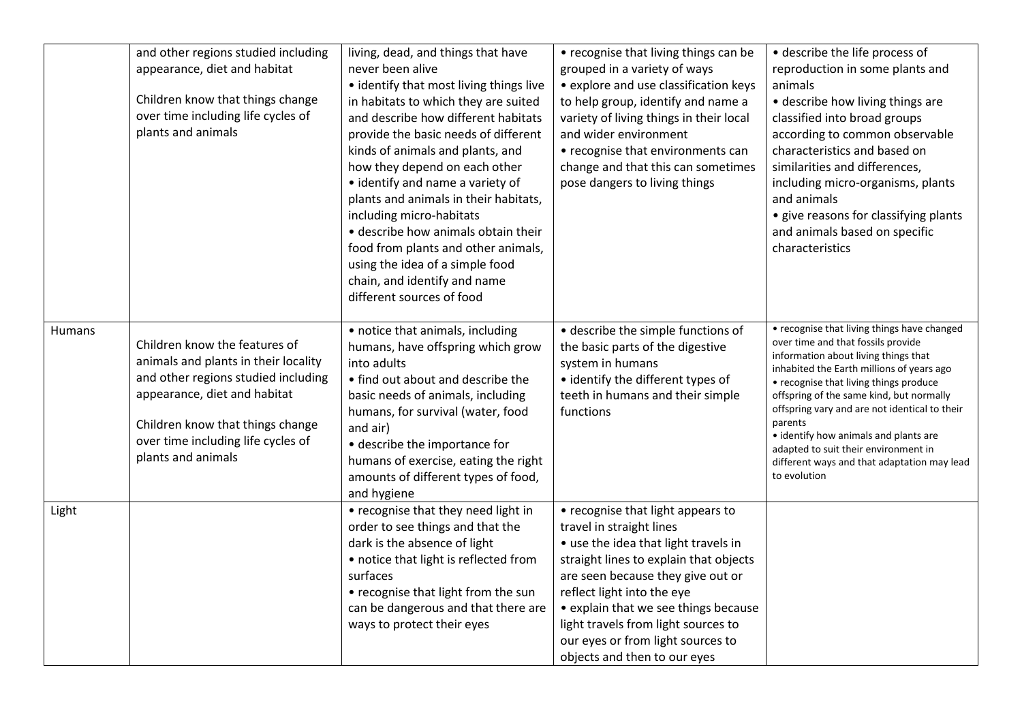|        | and other regions studied including<br>appearance, diet and habitat<br>Children know that things change<br>over time including life cycles of<br>plants and animals                                                                          | living, dead, and things that have<br>never been alive<br>• identify that most living things live<br>in habitats to which they are suited<br>and describe how different habitats<br>provide the basic needs of different<br>kinds of animals and plants, and<br>how they depend on each other<br>• identify and name a variety of<br>plants and animals in their habitats,<br>including micro-habitats<br>• describe how animals obtain their<br>food from plants and other animals,<br>using the idea of a simple food<br>chain, and identify and name<br>different sources of food | • recognise that living things can be<br>grouped in a variety of ways<br>• explore and use classification keys<br>to help group, identify and name a<br>variety of living things in their local<br>and wider environment<br>• recognise that environments can<br>change and that this can sometimes<br>pose dangers to living things                                   | • describe the life process of<br>reproduction in some plants and<br>animals<br>• describe how living things are<br>classified into broad groups<br>according to common observable<br>characteristics and based on<br>similarities and differences,<br>including micro-organisms, plants<br>and animals<br>• give reasons for classifying plants<br>and animals based on specific<br>characteristics                                                                     |
|--------|----------------------------------------------------------------------------------------------------------------------------------------------------------------------------------------------------------------------------------------------|--------------------------------------------------------------------------------------------------------------------------------------------------------------------------------------------------------------------------------------------------------------------------------------------------------------------------------------------------------------------------------------------------------------------------------------------------------------------------------------------------------------------------------------------------------------------------------------|------------------------------------------------------------------------------------------------------------------------------------------------------------------------------------------------------------------------------------------------------------------------------------------------------------------------------------------------------------------------|--------------------------------------------------------------------------------------------------------------------------------------------------------------------------------------------------------------------------------------------------------------------------------------------------------------------------------------------------------------------------------------------------------------------------------------------------------------------------|
| Humans | Children know the features of<br>animals and plants in their locality<br>and other regions studied including<br>appearance, diet and habitat<br>Children know that things change<br>over time including life cycles of<br>plants and animals | • notice that animals, including<br>humans, have offspring which grow<br>into adults<br>• find out about and describe the<br>basic needs of animals, including<br>humans, for survival (water, food<br>and air)<br>• describe the importance for<br>humans of exercise, eating the right<br>amounts of different types of food,<br>and hygiene                                                                                                                                                                                                                                       | • describe the simple functions of<br>the basic parts of the digestive<br>system in humans<br>· identify the different types of<br>teeth in humans and their simple<br>functions                                                                                                                                                                                       | • recognise that living things have changed<br>over time and that fossils provide<br>information about living things that<br>inhabited the Earth millions of years ago<br>• recognise that living things produce<br>offspring of the same kind, but normally<br>offspring vary and are not identical to their<br>parents<br>• identify how animals and plants are<br>adapted to suit their environment in<br>different ways and that adaptation may lead<br>to evolution |
| Light  |                                                                                                                                                                                                                                              | • recognise that they need light in<br>order to see things and that the<br>dark is the absence of light<br>• notice that light is reflected from<br>surfaces<br>• recognise that light from the sun<br>can be dangerous and that there are<br>ways to protect their eyes                                                                                                                                                                                                                                                                                                             | • recognise that light appears to<br>travel in straight lines<br>• use the idea that light travels in<br>straight lines to explain that objects<br>are seen because they give out or<br>reflect light into the eye<br>• explain that we see things because<br>light travels from light sources to<br>our eyes or from light sources to<br>objects and then to our eyes |                                                                                                                                                                                                                                                                                                                                                                                                                                                                          |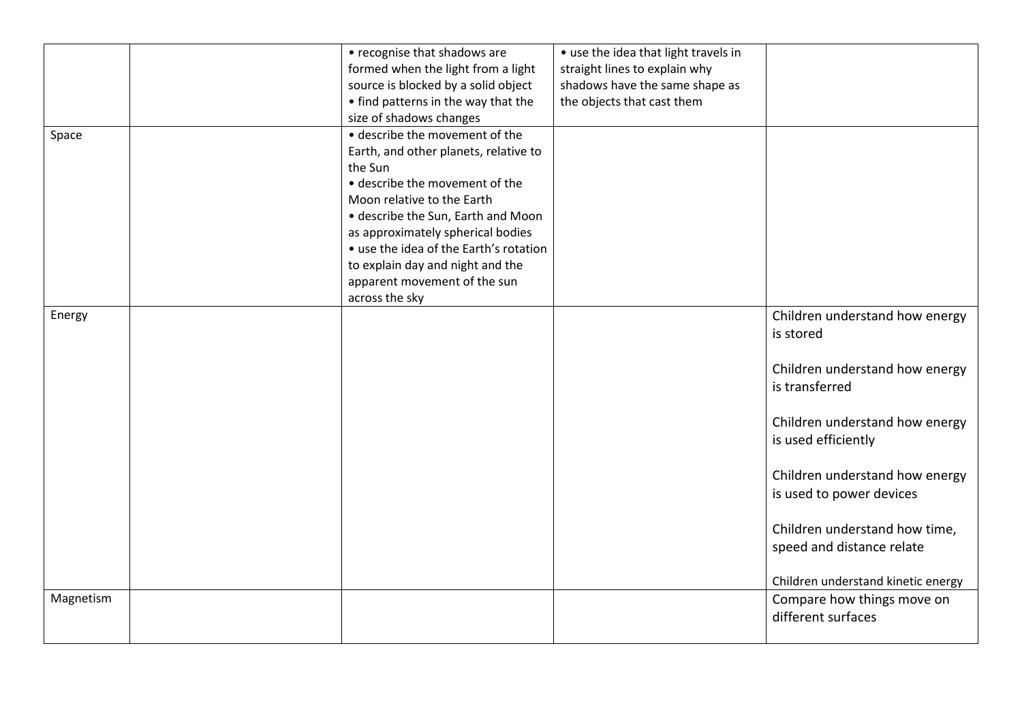|           | • recognise that shadows are           | • use the idea that light travels in |                                    |
|-----------|----------------------------------------|--------------------------------------|------------------------------------|
|           | formed when the light from a light     | straight lines to explain why        |                                    |
|           | source is blocked by a solid object    | shadows have the same shape as       |                                    |
|           | • find patterns in the way that the    | the objects that cast them           |                                    |
|           | size of shadows changes                |                                      |                                    |
| Space     | • describe the movement of the         |                                      |                                    |
|           | Earth, and other planets, relative to  |                                      |                                    |
|           | the Sun                                |                                      |                                    |
|           | • describe the movement of the         |                                      |                                    |
|           | Moon relative to the Earth             |                                      |                                    |
|           | • describe the Sun, Earth and Moon     |                                      |                                    |
|           | as approximately spherical bodies      |                                      |                                    |
|           | • use the idea of the Earth's rotation |                                      |                                    |
|           | to explain day and night and the       |                                      |                                    |
|           | apparent movement of the sun           |                                      |                                    |
|           | across the sky                         |                                      |                                    |
| Energy    |                                        |                                      | Children understand how energy     |
|           |                                        |                                      |                                    |
|           |                                        |                                      | is stored                          |
|           |                                        |                                      |                                    |
|           |                                        |                                      | Children understand how energy     |
|           |                                        |                                      | is transferred                     |
|           |                                        |                                      |                                    |
|           |                                        |                                      | Children understand how energy     |
|           |                                        |                                      | is used efficiently                |
|           |                                        |                                      |                                    |
|           |                                        |                                      | Children understand how energy     |
|           |                                        |                                      | is used to power devices           |
|           |                                        |                                      |                                    |
|           |                                        |                                      |                                    |
|           |                                        |                                      | Children understand how time,      |
|           |                                        |                                      | speed and distance relate          |
|           |                                        |                                      |                                    |
|           |                                        |                                      | Children understand kinetic energy |
| Magnetism |                                        |                                      | Compare how things move on         |
|           |                                        |                                      | different surfaces                 |
|           |                                        |                                      |                                    |